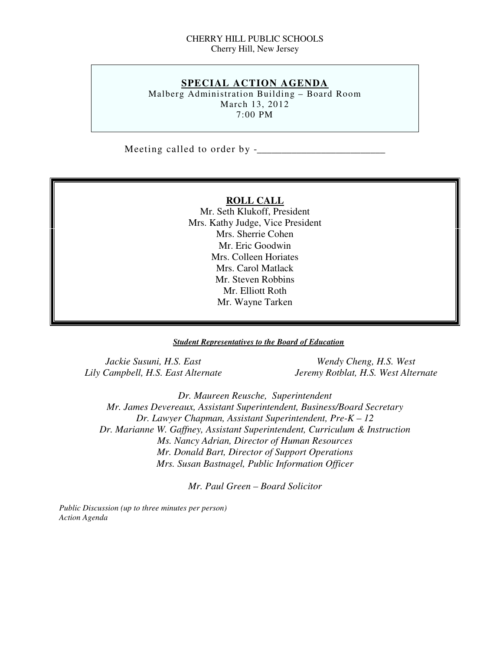#### CHERRY HILL PUBLIC SCHOOLS Cherry Hill, New Jersey

#### **SPECIAL ACTION AGENDA**

 Malberg Administration Building – Board Room March 13, 2012 7:00 PM

Meeting called to order by -\_\_\_\_\_\_\_\_\_\_\_\_\_\_\_\_\_\_\_\_\_\_\_\_\_\_

#### **ROLL CALL**

 Mr. Seth Klukoff, President Mrs. Kathy Judge, Vice President Mrs. Sherrie Cohen Mr. Eric Goodwin Mrs. Colleen Horiates Mrs. Carol Matlack Mr. Steven Robbins Mr. Elliott Roth Mr. Wayne Tarken

#### *Student Representatives to the Board of Education*

Jackie Susuni, H.S. East Lily Campbell, H.S. East Alternate

*Wendy Cheng, H.S. West Lily Campbell, H.S. East Alternate Jeremy Rotblat, H.S. West Alternate* 

 *Dr. Maureen Reusche, Superintendent Mr. James Devereaux, Assistant Superintendent, Business/Board Secretary Dr. Lawyer Chapman, Assistant Superintendent, Pre-K – 12 Dr. Marianne W. Gaffney, Assistant Superintendent, Curriculum & Instruction Ms. Nancy Adrian, Director of Human Resources Mr. Donald Bart, Director of Support Operations Mrs. Susan Bastnagel, Public Information Officer* 

 *Mr. Paul Green – Board Solicitor* 

 *Public Discussion (up to three minutes per person) Action Agenda*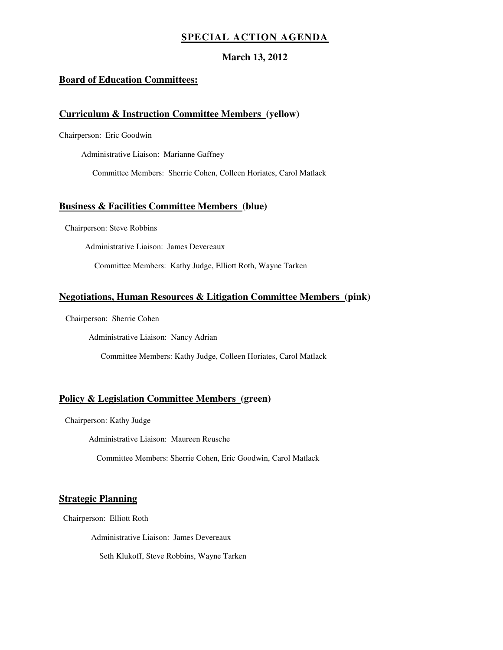#### **SPECIAL ACTION AGENDA**

#### **March 13, 2012**

#### **Board of Education Committees:**

#### **Curriculum & Instruction Committee Members (yellow)**

Chairperson: Eric Goodwin

Administrative Liaison: Marianne Gaffney

Committee Members: Sherrie Cohen, Colleen Horiates, Carol Matlack

#### **Business & Facilities Committee Members (blue)**

Chairperson: Steve Robbins

Administrative Liaison: James Devereaux

Committee Members: Kathy Judge, Elliott Roth, Wayne Tarken

#### **Negotiations, Human Resources & Litigation Committee Members (pink)**

Chairperson: Sherrie Cohen

Administrative Liaison: Nancy Adrian

Committee Members: Kathy Judge, Colleen Horiates, Carol Matlack

#### **Policy & Legislation Committee Members (green)**

Chairperson: Kathy Judge

Administrative Liaison: Maureen Reusche

Committee Members: Sherrie Cohen, Eric Goodwin, Carol Matlack

#### **Strategic Planning**

Chairperson: Elliott Roth

Administrative Liaison: James Devereaux

Seth Klukoff, Steve Robbins, Wayne Tarken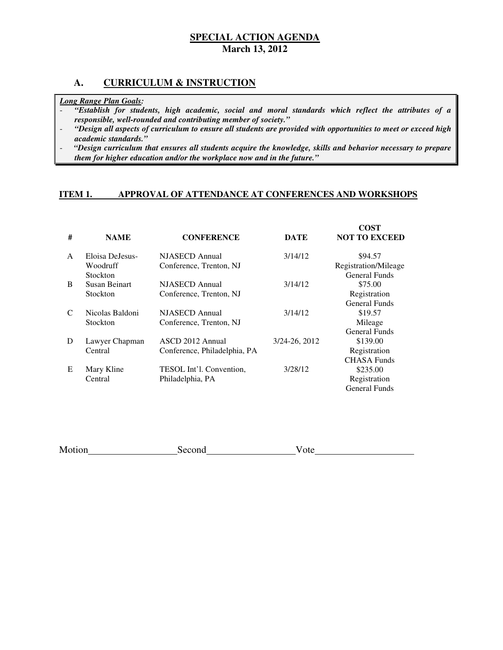#### **A. CURRICULUM & INSTRUCTION**

#### *Long Range Plan Goals:*

- *"Establish for students, high academic, social and moral standards which reflect the attributes of a responsible, well-rounded and contributing member of society."*
- *"Design all aspects of curriculum to ensure all students are provided with opportunities to meet or exceed high academic standards."*
- *"Design curriculum that ensures all students acquire the knowledge, skills and behavior necessary to prepare them for higher education and/or the workplace now and in the future."*

#### **ITEM 1. APPROVAL OF ATTENDANCE AT CONFERENCES AND WORKSHOPS**

| #             | <b>NAME</b>     | <b>CONFERENCE</b>            | <b>DATE</b>   | COST<br><b>NOT TO EXCEED</b> |
|---------------|-----------------|------------------------------|---------------|------------------------------|
| $\mathsf{A}$  | Eloisa DeJesus- | NJASECD Annual               | 3/14/12       | \$94.57                      |
|               | Woodruff        | Conference, Trenton, NJ      |               | Registration/Mileage         |
|               | <b>Stockton</b> |                              |               | <b>General Funds</b>         |
| <sub>B</sub>  | Susan Beinart   | NJASECD Annual               | 3/14/12       | \$75.00                      |
|               | <b>Stockton</b> | Conference, Trenton, NJ      |               | Registration                 |
|               |                 |                              |               | General Funds                |
| $\mathcal{C}$ | Nicolas Baldoni | <b>NJASECD</b> Annual        | 3/14/12       | \$19.57                      |
|               | Stockton        | Conference, Trenton, NJ      |               | Mileage                      |
|               |                 |                              |               | General Funds                |
| D             | Lawyer Chapman  | ASCD 2012 Annual             | 3/24-26, 2012 | \$139.00                     |
|               | Central         | Conference, Philadelphia, PA |               | Registration                 |
|               |                 |                              |               | <b>CHASA Funds</b>           |
| E             | Mary Kline      | TESOL Int'l. Convention,     | 3/28/12       | \$235.00                     |
|               | Central         | Philadelphia, PA             |               | Registration                 |
|               |                 |                              |               | General Funds                |

| Motion | Second | 'ote |
|--------|--------|------|
|        |        |      |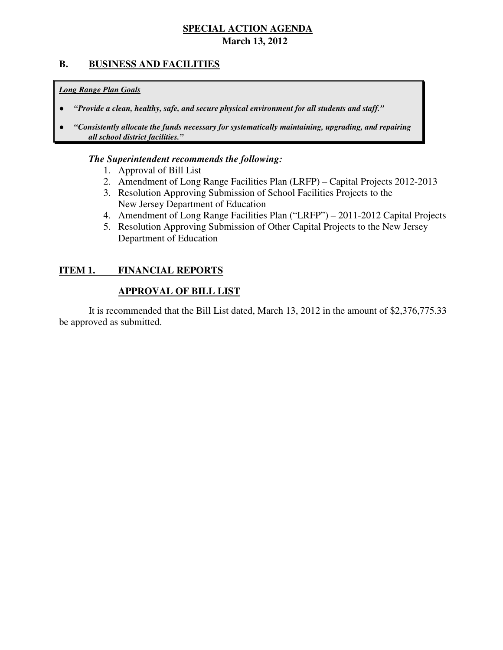# **B. BUSINESS AND FACILITIES**

#### *Long Range Plan Goals*

- *"Provide a clean, healthy, safe, and secure physical environment for all students and staff."*
- *all school district facilities."*  ● *"Consistently allocate the funds necessary for systematically maintaining, upgrading, and repairing*

#### *The Superintendent recommends the following:*

- 1. Approval of Bill List
- 2. Amendment of Long Range Facilities Plan (LRFP) Capital Projects 2012-2013
- 3. Resolution Approving Submission of School Facilities Projects to the New Jersey Department of Education
- 4. Amendment of Long Range Facilities Plan ("LRFP") 2011-2012 Capital Projects
- 5. Resolution Approving Submission of Other Capital Projects to the New Jersey Department of Education

#### **ITEM 1. FINANCIAL REPORTS**

#### **APPROVAL OF BILL LIST**

 be approved as submitted. It is recommended that the Bill List dated, March 13, 2012 in the amount of \$2,376,775.33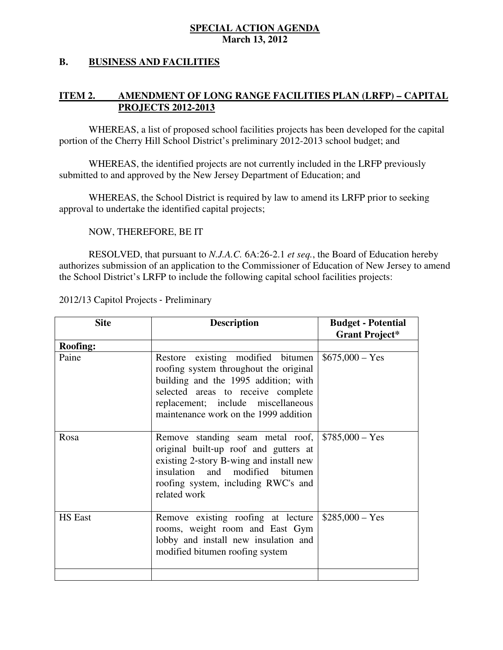#### **B.** BUSINESS AND FACILITIES

#### **ITEM 2. IMENDMENT OF LONG RANGE FACILITIES PLAN (LRFP) – CAPITAL PROJECTS 2012-2013**

 WHEREAS, a list of proposed school facilities projects has been developed for the capital portion of the Cherry Hill School District's preliminary 2012-2013 school budget; and

 WHEREAS, the identified projects are not currently included in the LRFP previously submitted to and approved by the New Jersey Department of Education; and

 WHEREAS, the School District is required by law to amend its LRFP prior to seeking approval to undertake the identified capital projects;

NOW, THEREFORE, BE IT

 RESOLVED, that pursuant to *N.J.A.C.* 6A:26-2.1 *et seq.*, the Board of Education hereby authorizes submission of an application to the Commissioner of Education of New Jersey to amend the School District's LRFP to include the following capital school facilities projects:

2012/13 Capitol Projects ‐ Preliminary

| <b>Site</b>     | <b>Description</b>                                                                                                                                                                                                                                     | <b>Budget - Potential</b> |
|-----------------|--------------------------------------------------------------------------------------------------------------------------------------------------------------------------------------------------------------------------------------------------------|---------------------------|
|                 |                                                                                                                                                                                                                                                        | <b>Grant Project*</b>     |
| <b>Roofing:</b> |                                                                                                                                                                                                                                                        |                           |
| Paine           | Restore existing modified bitumen<br>roofing system throughout the original<br>building and the 1995 addition; with<br>selected areas to receive complete<br>replacement; include miscellaneous<br>maintenance work on the 1999 addition               | $$675,000 - Yes$          |
| Rosa            | Remove standing seam metal roof, $\frac{1}{2}$ \$785,000 – Yes<br>original built-up roof and gutters at<br>existing 2-story B-wing and install new<br>insulation and modified<br><b>bitumen</b><br>roofing system, including RWC's and<br>related work |                           |
| <b>HS</b> East  | Remove existing roofing at lecture<br>rooms, weight room and East Gym<br>lobby and install new insulation and<br>modified bitumen roofing system                                                                                                       | $$285,000 - Yes$          |
|                 |                                                                                                                                                                                                                                                        |                           |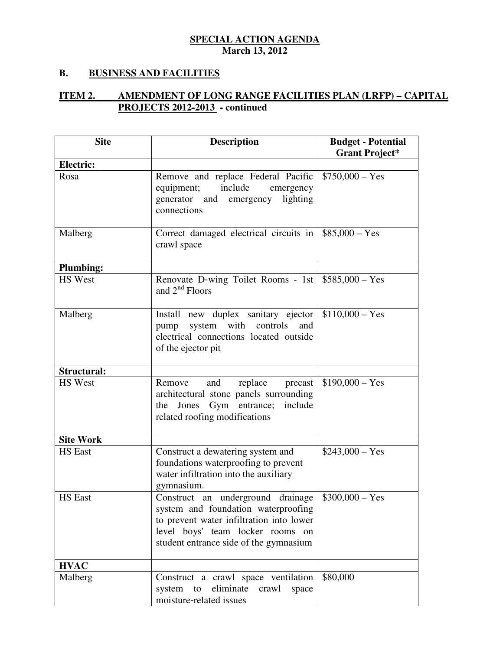### **B. BUSINESS AND FACILITIES**

#### **ITEM 2. PROJECTS 2012-2013 - continued IMENDMENT OF LONG RANGE FACILITIES PLAN (LRFP) – CAPITAL**

| <b>Site</b>        | <b>Description</b>                                                                                                                                                                                 | <b>Budget - Potential</b><br><b>Grant Project*</b> |
|--------------------|----------------------------------------------------------------------------------------------------------------------------------------------------------------------------------------------------|----------------------------------------------------|
| Electric:          |                                                                                                                                                                                                    |                                                    |
| Rosa               | Remove and replace Federal Pacific<br>include<br>equipment;<br>emergency<br>generator and emergency lighting<br>connections                                                                        | $$750,000 - Yes$                                   |
| Malberg            | Correct damaged electrical circuits in<br>crawl space                                                                                                                                              | $$85,000 - Yes$                                    |
| <b>Plumbing:</b>   |                                                                                                                                                                                                    |                                                    |
| <b>HS</b> West     | Renovate D-wing Toilet Rooms - 1st<br>and $2^{nd}$ Floors                                                                                                                                          | $$585,000 - Yes$                                   |
| Malberg            | Install new duplex sanitary ejector<br>pump system with controls<br>and<br>electrical connections located outside<br>of the ejector pit                                                            | $$110,000 - Yes$                                   |
| <b>Structural:</b> |                                                                                                                                                                                                    |                                                    |
| <b>HS</b> West     | replace<br>Remove<br>and<br>precast<br>architectural stone panels surrounding<br>the Jones Gym entrance; include<br>related roofing modifications                                                  | $$190,000 - Yes$                                   |
| <b>Site Work</b>   |                                                                                                                                                                                                    |                                                    |
| <b>HS</b> East     | Construct a dewatering system and<br>foundations waterproofing to prevent<br>water infiltration into the auxiliary<br>gymnasium.                                                                   | $$243,000 - Yes$                                   |
| <b>HS</b> East     | Construct an underground drainage<br>system and foundation waterproofing<br>to prevent water infiltration into lower<br>level boys' team locker rooms on<br>student entrance side of the gymnasium | $$300,000 - Yes$                                   |
| <b>HVAC</b>        |                                                                                                                                                                                                    |                                                    |
| Malberg            | Construct a crawl space ventilation<br>eliminate<br>system to<br>crawl<br>space<br>moisture-related issues                                                                                         | \$80,000                                           |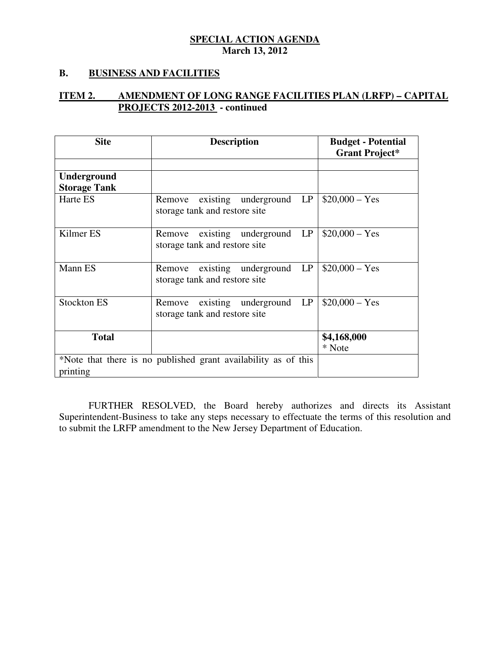### **B. BUSINESS AND FACILITIES**

#### **ITEM 2. PROJECTS 2012-2013 - continued IMENDMENT OF LONG RANGE FACILITIES PLAN (LRFP) – CAPITAL**

| <b>Site</b>                                                    | <b>Description</b>                      | <b>Budget - Potential</b> |  |
|----------------------------------------------------------------|-----------------------------------------|---------------------------|--|
|                                                                |                                         | <b>Grant Project*</b>     |  |
|                                                                |                                         |                           |  |
| Underground                                                    |                                         |                           |  |
| <b>Storage Tank</b>                                            |                                         |                           |  |
| Harte ES                                                       | existing underground LP<br>Remove       | $$20,000 - Yes$           |  |
|                                                                | storage tank and restore site           |                           |  |
|                                                                |                                         |                           |  |
| Kilmer ES                                                      | existing<br>underground<br>LP<br>Remove | $$20,000 - Yes$           |  |
|                                                                | storage tank and restore site           |                           |  |
|                                                                |                                         |                           |  |
| Mann ES                                                        | LP<br>existing underground<br>Remove    | $$20,000 - Yes$           |  |
|                                                                | storage tank and restore site           |                           |  |
|                                                                |                                         |                           |  |
| <b>Stockton ES</b>                                             | existing<br>underground LP<br>Remove    | $$20,000 - Yes$           |  |
|                                                                | storage tank and restore site           |                           |  |
|                                                                |                                         |                           |  |
| <b>Total</b>                                                   |                                         | \$4,168,000               |  |
|                                                                |                                         | * Note                    |  |
| *Note that there is no published grant availability as of this |                                         |                           |  |
| printing                                                       |                                         |                           |  |

 FURTHER RESOLVED, the Board hereby authorizes and directs its Assistant Superintendent-Business to take any steps necessary to effectuate the terms of this resolution and to submit the LRFP amendment to the New Jersey Department of Education.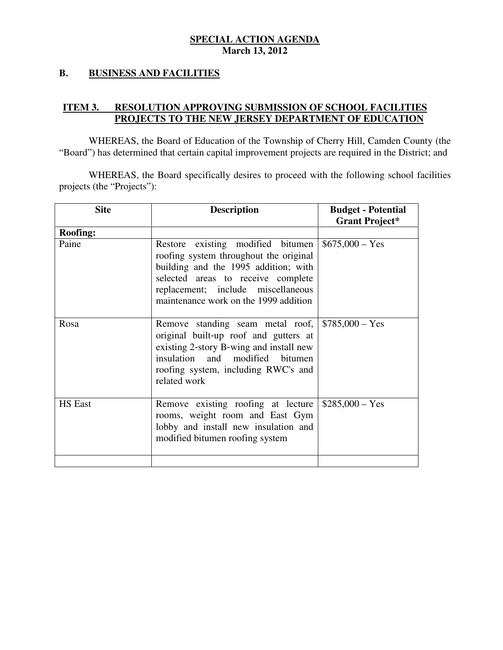#### **B. BUSINESS AND FACILITIES**

#### **ITEM 3. PROJECTS TO THE NEW JERSEY DEPARTMENT OF EDUCATION RESOLUTION APPROVING SUBMISSION OF SCHOOL FACILITIES**

 WHEREAS, the Board of Education of the Township of Cherry Hill, Camden County (the "Board") has determined that certain capital improvement projects are required in the District; and

 WHEREAS, the Board specifically desires to proceed with the following school facilities projects (the "Projects"):

| <b>Site</b>     | <b>Description</b>                                                                                                                                                                                                                       | <b>Budget - Potential</b><br><b>Grant Project*</b> |
|-----------------|------------------------------------------------------------------------------------------------------------------------------------------------------------------------------------------------------------------------------------------|----------------------------------------------------|
| <b>Roofing:</b> |                                                                                                                                                                                                                                          |                                                    |
| Paine           | Restore existing modified bitumen<br>roofing system throughout the original<br>building and the 1995 addition; with<br>selected areas to receive complete<br>replacement; include miscellaneous<br>maintenance work on the 1999 addition | $$675,000 - Yes$                                   |
| Rosa            | Remove standing seam metal roof,<br>original built-up roof and gutters at<br>existing 2-story B-wing and install new<br>insulation and modified bitumen<br>roofing system, including RWC's and<br>related work                           | $$785,000 - Yes$                                   |
| <b>HS</b> East  | Remove existing roofing at lecture<br>rooms, weight room and East Gym<br>lobby and install new insulation and<br>modified bitumen roofing system                                                                                         | $$285,000 - Yes$                                   |
|                 |                                                                                                                                                                                                                                          |                                                    |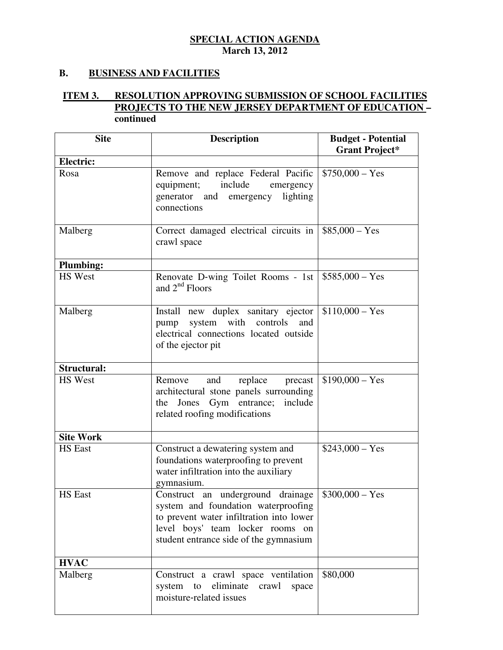### **B. BUSINESS AND FACILITIES**

#### **ITEM 3. PROJECTS TO THE NEW JERSEY DEPARTMENT OF EDUCATION – INESOLUTION APPROVING SUBMISSION OF SCHOOL FACILITIES continued**

| <b>Site</b>        | <b>Description</b>                                                                                                                                                                                                               | <b>Budget - Potential</b><br><b>Grant Project*</b> |
|--------------------|----------------------------------------------------------------------------------------------------------------------------------------------------------------------------------------------------------------------------------|----------------------------------------------------|
| <b>Electric:</b>   |                                                                                                                                                                                                                                  |                                                    |
| Rosa               | Remove and replace Federal Pacific<br>include<br>equipment;<br>emergency<br>generator and emergency lighting<br>connections                                                                                                      | $$750,000 - Yes$                                   |
| Malberg            | Correct damaged electrical circuits in<br>crawl space                                                                                                                                                                            | $$85,000 - Yes$                                    |
| <b>Plumbing:</b>   |                                                                                                                                                                                                                                  |                                                    |
| <b>HS</b> West     | Renovate D-wing Toilet Rooms - 1st   $$585,000 - Yes$<br>and $2nd$ Floors                                                                                                                                                        |                                                    |
| Malberg            | Install new duplex sanitary ejector<br>system with controls<br>and<br>pump<br>electrical connections located outside<br>of the ejector pit                                                                                       | $$110,000 - Yes$                                   |
| <b>Structural:</b> |                                                                                                                                                                                                                                  |                                                    |
| <b>HS</b> West     | replace<br>Remove<br>and<br>precast<br>architectural stone panels surrounding<br>the Jones Gym entrance; include<br>related roofing modifications                                                                                | $$190,000 - Yes$                                   |
| <b>Site Work</b>   |                                                                                                                                                                                                                                  |                                                    |
| <b>HS</b> East     | Construct a dewatering system and<br>foundations waterproofing to prevent<br>water infiltration into the auxiliary<br>gymnasium.                                                                                                 | $$243,000 - Yes$                                   |
| <b>HS</b> East     | Construct an underground drainage $\frac{1}{2}$ \$300,000 – Yes<br>system and foundation waterproofing<br>to prevent water infiltration into lower<br>level boys' team locker rooms on<br>student entrance side of the gymnasium |                                                    |
| <b>HVAC</b>        |                                                                                                                                                                                                                                  |                                                    |
| Malberg            | Construct a crawl space ventilation<br>system to eliminate crawl<br>space<br>moisture-related issues                                                                                                                             | \$80,000                                           |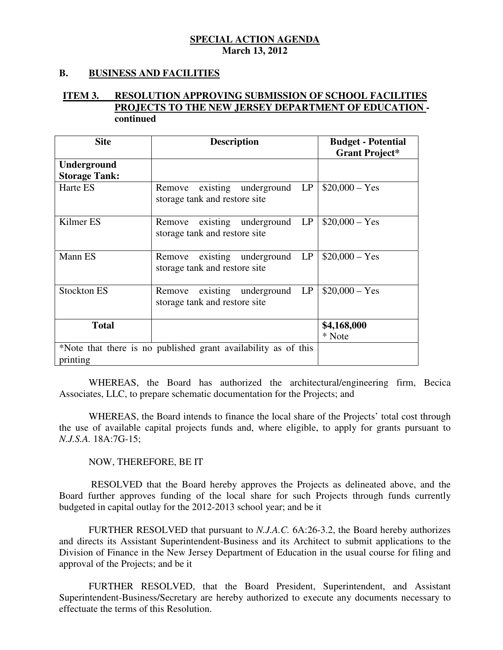#### **B. BUSINESS AND FACILITIES**

#### **ITEM 3. PROJECTS TO THE NEW JERSEY DEPARTMENT OF EDUCATION RESOLUTION APPROVING SUBMISSION OF SCHOOL FACILITIES continued**

| <b>Site</b>                                                    | <b>Description</b>                      | <b>Budget - Potential</b> |
|----------------------------------------------------------------|-----------------------------------------|---------------------------|
|                                                                |                                         | <b>Grant Project*</b>     |
| Underground                                                    |                                         |                           |
| <b>Storage Tank:</b>                                           |                                         |                           |
| Harte ES                                                       | LP<br>existing underground<br>Remove    | $$20,000 - Yes$           |
|                                                                | storage tank and restore site           |                           |
|                                                                |                                         |                           |
| Kilmer ES                                                      | LP<br>existing underground<br>Remove    | $$20,000 - Yes$           |
|                                                                | storage tank and restore site           |                           |
|                                                                |                                         |                           |
| Mann ES                                                        | existing underground<br>LP<br>Remove    | $$20,000 - Yes$           |
|                                                                | storage tank and restore site           |                           |
|                                                                |                                         |                           |
| <b>Stockton ES</b>                                             | existing<br>underground<br>LP<br>Remove | $$20,000 - Yes$           |
|                                                                | storage tank and restore site           |                           |
|                                                                |                                         |                           |
| <b>Total</b>                                                   |                                         | \$4,168,000               |
|                                                                |                                         | * Note                    |
| *Note that there is no published grant availability as of this |                                         |                           |
| printing                                                       |                                         |                           |

 WHEREAS, the Board has authorized the architectural/engineering firm, Becica Associates, LLC, to prepare schematic documentation for the Projects; and

 WHEREAS, the Board intends to finance the local share of the Projects' total cost through the use of available capital projects funds and, where eligible, to apply for grants pursuant to *N.J.S.A.* 18A:7G-15;

#### NOW, THEREFORE, BE IT

 RESOLVED that the Board hereby approves the Projects as delineated above, and the Board further approves funding of the local share for such Projects through funds currently budgeted in capital outlay for the 2012-2013 school year; and be it

 FURTHER RESOLVED that pursuant to *N.J.A.C.* 6A:26-3.2, the Board hereby authorizes and directs its Assistant Superintendent-Business and its Architect to submit applications to the Division of Finance in the New Jersey Department of Education in the usual course for filing and approval of the Projects; and be it

 FURTHER RESOLVED, that the Board President, Superintendent, and Assistant Superintendent-Business/Secretary are hereby authorized to execute any documents necessary to effectuate the terms of this Resolution.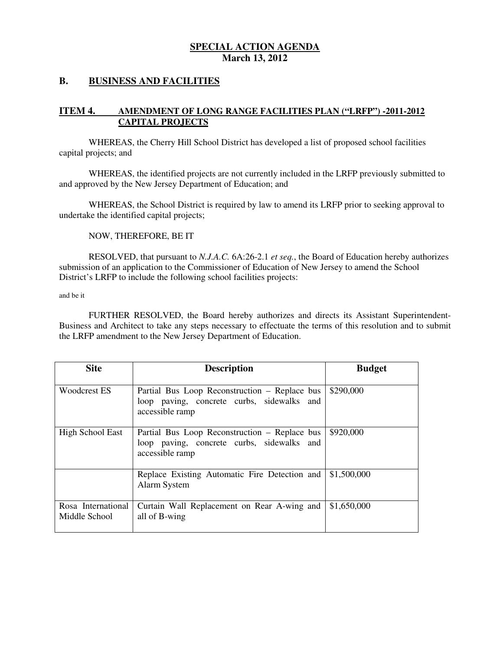#### **B. BUSINESS AND FACILITIES**

#### **ITEM 4. IMENDMENT OF LONG RANGE FACILITIES PLAN ("LRFP") -2011-2012 CAPITAL PROJECTS**

 WHEREAS, the Cherry Hill School District has developed a list of proposed school facilities capital projects; and

 WHEREAS, the identified projects are not currently included in the LRFP previously submitted to and approved by the New Jersey Department of Education; and

 WHEREAS, the School District is required by law to amend its LRFP prior to seeking approval to undertake the identified capital projects;

NOW, THEREFORE, BE IT

 RESOLVED, that pursuant to *N.J.A.C.* 6A:26-2.1 *et seq.*, the Board of Education hereby authorizes submission of an application to the Commissioner of Education of New Jersey to amend the School District's LRFP to include the following school facilities projects:

and be it

 FURTHER RESOLVED, the Board hereby authorizes and directs its Assistant Superintendent- Business and Architect to take any steps necessary to effectuate the terms of this resolution and to submit the LRFP amendment to the New Jersey Department of Education.

| <b>Site</b>                         | <b>Description</b>                                                                                             | <b>Budget</b> |
|-------------------------------------|----------------------------------------------------------------------------------------------------------------|---------------|
| <b>Woodcrest ES</b>                 | Partial Bus Loop Reconstruction – Replace bus<br>loop paving, concrete curbs, sidewalks and<br>accessible ramp | \$290,000     |
| <b>High School East</b>             | Partial Bus Loop Reconstruction – Replace bus<br>loop paving, concrete curbs, sidewalks and<br>accessible ramp | \$920,000     |
|                                     | Replace Existing Automatic Fire Detection and<br>Alarm System                                                  | \$1,500,000   |
| Rosa International<br>Middle School | Curtain Wall Replacement on Rear A-wing and<br>all of B-wing                                                   | \$1,650,000   |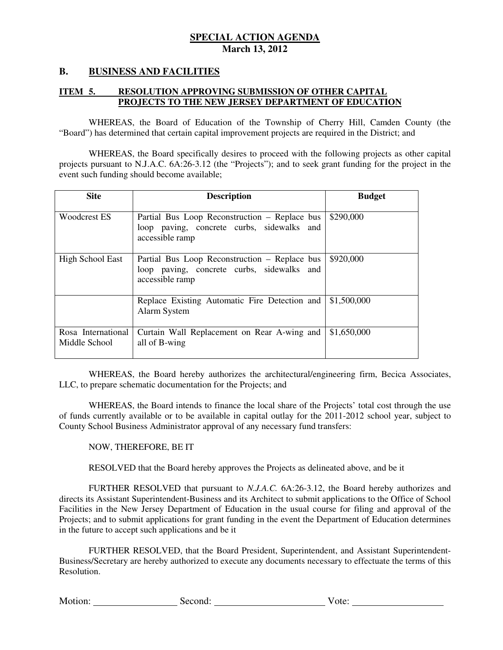#### **B. BUSINESS AND FACILITIES**

#### **ITEM 5. RESOLUTION APPROVING SUBMISSION OF OTHER CAPITAL PROJECTS TO THE NEW JERSEY DEPARTMENT OF EDUCATION**

 WHEREAS, the Board of Education of the Township of Cherry Hill, Camden County (the "Board") has determined that certain capital improvement projects are required in the District; and

 projects pursuant to N.J.A.C. 6A:26-3.12 (the "Projects"); and to seek grant funding for the project in the event such funding should become available; WHEREAS, the Board specifically desires to proceed with the following projects as other capital

| <b>Site</b>                         | <b>Description</b>                                                                                             | <b>Budget</b> |
|-------------------------------------|----------------------------------------------------------------------------------------------------------------|---------------|
| Woodcrest ES                        | Partial Bus Loop Reconstruction – Replace bus<br>loop paving, concrete curbs, sidewalks and<br>accessible ramp | \$290,000     |
| <b>High School East</b>             | Partial Bus Loop Reconstruction – Replace bus<br>loop paving, concrete curbs, sidewalks and<br>accessible ramp | \$920,000     |
|                                     | Replace Existing Automatic Fire Detection and<br>Alarm System                                                  | \$1,500,000   |
| Rosa International<br>Middle School | Curtain Wall Replacement on Rear A-wing and<br>all of B-wing                                                   | \$1,650,000   |

 WHEREAS, the Board hereby authorizes the architectural/engineering firm, Becica Associates, LLC, to prepare schematic documentation for the Projects; and

 WHEREAS, the Board intends to finance the local share of the Projects' total cost through the use of funds currently available or to be available in capital outlay for the 2011-2012 school year, subject to County School Business Administrator approval of any necessary fund transfers:

NOW, THEREFORE, BE IT

RESOLVED that the Board hereby approves the Projects as delineated above, and be it

 FURTHER RESOLVED that pursuant to *N.J.A.C.* 6A:26-3.12, the Board hereby authorizes and directs its Assistant Superintendent-Business and its Architect to submit applications to the Office of School Facilities in the New Jersey Department of Education in the usual course for filing and approval of the Projects; and to submit applications for grant funding in the event the Department of Education determines in the future to accept such applications and be it

 FURTHER RESOLVED, that the Board President, Superintendent, and Assistant Superintendent- Business/Secretary are hereby authorized to execute any documents necessary to effectuate the terms of this Resolution.

Motion: Vote: Second: Second: Vote: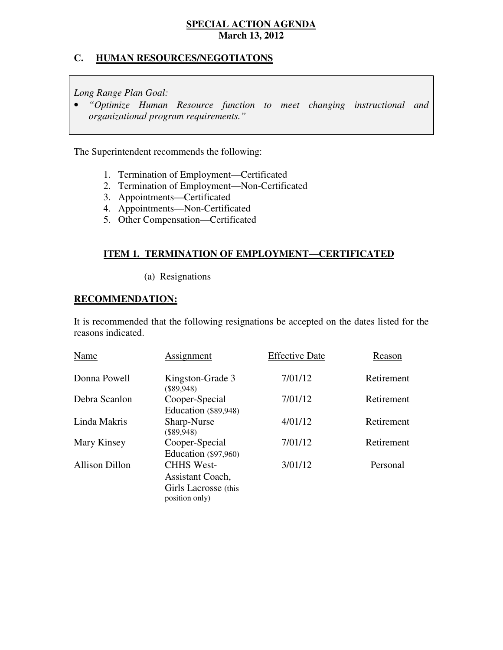### **C. HUMAN RESOURCES/NEGOTIATONS**

 *Long Range Plan Goal:* 

 • *"Optimize Human Resource function to meet changing instructional and organizational program requirements."* 

The Superintendent recommends the following:

- 1. Termination of Employment—Certificated
- 2. Termination of Employment—Non-Certificated
- 3. Appointments—Certificated
- 4. Appointments-Non-Certificated
- 5. Other Compensation—Certificated

#### **ITEM 1. TERMINATION OF EMPLOYMENT—CERTIFICATED**

(a) Resignations

#### **RECOMMENDATION:**

 It is recommended that the following resignations be accepted on the dates listed for the reasons indicated.

| Name                  | <b>Assignment</b>                                                               | <b>Effective Date</b> | Reason     |
|-----------------------|---------------------------------------------------------------------------------|-----------------------|------------|
| Donna Powell          | Kingston-Grade 3<br>$(\$89,948)$                                                | 7/01/12               | Retirement |
| Debra Scanlon         | Cooper-Special<br>Education (\$89,948)                                          | 7/01/12               | Retirement |
| Linda Makris          | Sharp-Nurse<br>$(\$89,948)$                                                     | 4/01/12               | Retirement |
| Mary Kinsey           | Cooper-Special<br>Education $(\$97,960)$                                        | 7/01/12               | Retirement |
| <b>Allison Dillon</b> | <b>CHHS West-</b><br>Assistant Coach,<br>Girls Lacrosse (this<br>position only) | 3/01/12               | Personal   |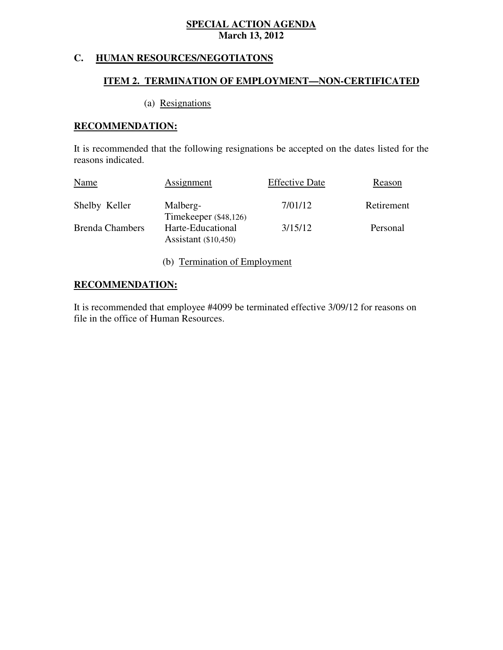# **C. HUMAN RESOURCES/NEGOTIATONS**

### **ITEM 2. TERMINATION OF EMPLOYMENT—NON-CERTIFICATED**

# (a) Resignations

### **RECOMMENDATION:**

 It is recommended that the following resignations be accepted on the dates listed for the reasons indicated.

| Name                   | <b>Assignment</b>                           | <b>Effective Date</b> | Reason     |
|------------------------|---------------------------------------------|-----------------------|------------|
| Shelby Keller          | Malberg-<br>Timekeeper (\$48,126)           | 7/01/12               | Retirement |
| <b>Brenda Chambers</b> | Harte-Educational<br>Assistant $(\$10,450)$ | 3/15/12               | Personal   |

(b) Termination of Employment

### **RECOMMENDATION:**

 It is recommended that employee #4099 be terminated effective 3/09/12 for reasons on file in the office of Human Resources.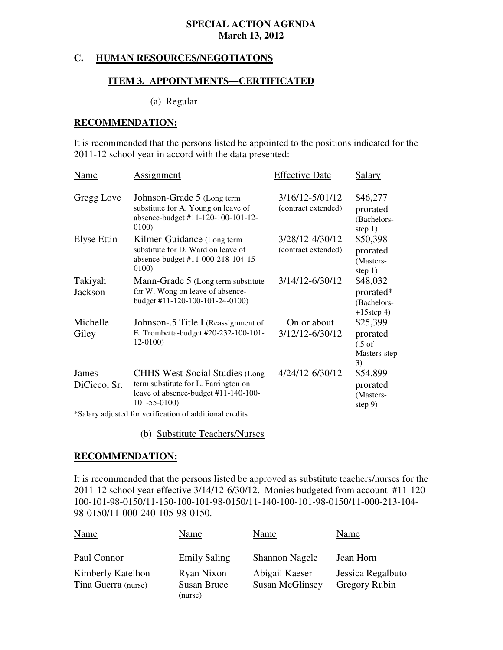#### **C. HUMAN RESOURCES/NEGOTIATONS**

#### **ITEM 3. APPOINTMENTS—CERTIFICATED**

#### (a) Regular

#### **RECOMMENDATION:**

 It is recommended that the persons listed be appointed to the positions indicated for the 2011-12 school year in accord with the data presented:

| Name                  | Assignment                                                                                                                                                                                                                    | <b>Effective Date</b>                  | <b>Salary</b>                                                   |
|-----------------------|-------------------------------------------------------------------------------------------------------------------------------------------------------------------------------------------------------------------------------|----------------------------------------|-----------------------------------------------------------------|
| Gregg Love            | Johnson-Grade 5 (Long term<br>substitute for A. Young on leave of<br>absence-budget #11-120-100-101-12-<br>0100)                                                                                                              | 3/16/12-5/01/12<br>(contract extended) | \$46,277<br>prorated<br>(Bachelors-<br>step $1)$                |
| Elyse Ettin           | Kilmer-Guidance (Long term<br>substitute for D. Ward on leave of<br>absence-budget #11-000-218-104-15-<br>0100)                                                                                                               | 3/28/12-4/30/12<br>(contract extended) | \$50,398<br>prorated<br>(Masters-<br>step $1)$                  |
| Takiyah<br>Jackson    | Mann-Grade 5 (Long term substitute<br>for W. Wong on leave of absence-<br>budget #11-120-100-101-24-0100)                                                                                                                     | 3/14/12-6/30/12                        | \$48,032<br>prorated*<br>(Bachelors-<br>$+15$ step 4)           |
| Michelle<br>Giley     | Johnson-.5 Title I (Reassignment of<br>E. Trombetta-budget #20-232-100-101-<br>12-0100)                                                                                                                                       | On or about<br>3/12/12-6/30/12         | \$25,399<br>prorated<br>$(.5 \text{ of }$<br>Masters-step<br>3) |
| James<br>DiCicco, Sr. | <b>CHHS West-Social Studies (Long</b><br>term substitute for L. Farrington on<br>leave of absence-budget #11-140-100-<br>$101 - 55 - 0100$<br>$\ast$ C alama a dissemble defines semificantino - afinital distance di analita | 4/24/12-6/30/12                        | \$54,899<br>prorated<br>(Masters-<br>step $9)$                  |

\*Salary adjusted for verification of additional credits

(b) Substitute Teachers/Nurses

#### **RECOMMENDATION:**

 It is recommended that the persons listed be approved as substitute teachers/nurses for the 2011-12 school year effective 3/14/12-6/30/12. Monies budgeted from account #11-120 100-101-98-0150/11-130-100-101-98-0150/11-140-100-101-98-0150/11-000-213-104 98-0150/11-000-240-105-98-0150.

| <b>Name</b>                              | Name                                 | Name                                     | Name                               |
|------------------------------------------|--------------------------------------|------------------------------------------|------------------------------------|
| Paul Connor                              | <b>Emily Saling</b>                  | <b>Shannon Nagele</b>                    | Jean Horn                          |
| Kimberly Katelhon<br>Tina Guerra (nurse) | Ryan Nixon<br>Susan Bruce<br>(nurse) | Abigail Kaeser<br><b>Susan McGlinsey</b> | Jessica Regalbuto<br>Gregory Rubin |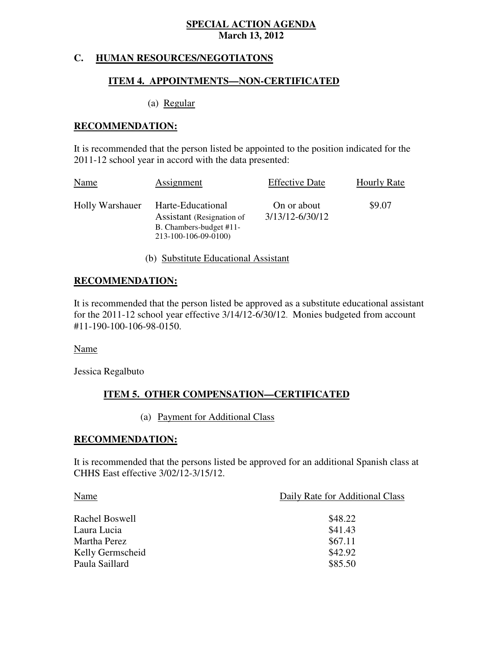### **C. HUMAN RESOURCES/NEGOTIATONS**

#### **ITEM 4. APPOINTMENTS—NON-CERTIFICATED**

(a) Regular

#### **RECOMMENDATION:**

 It is recommended that the person listed be appointed to the position indicated for the 2011-12 school year in accord with the data presented:

| Name            | Assignment                                                                                        | <b>Effective Date</b>          | <b>Hourly Rate</b> |
|-----------------|---------------------------------------------------------------------------------------------------|--------------------------------|--------------------|
| Holly Warshauer | Harte-Educational<br>Assistant (Resignation of<br>B. Chambers-budget #11-<br>213-100-106-09-0100) | On or about<br>3/13/12-6/30/12 | \$9.07             |

(b) Substitute Educational Assistant

#### **RECOMMENDATION:**

 It is recommended that the person listed be approved as a substitute educational assistant for the 2011-12 school year effective 3/14/12-6/30/12. Monies budgeted from account #11-190-100-106-98-0150.

Name

Jessica Regalbuto

#### **ITEM 5. OTHER COMPENSATION—CERTIFICATED**

(a) Payment for Additional Class

#### **RECOMMENDATION:**

 It is recommended that the persons listed be approved for an additional Spanish class at CHHS East effective 3/02/12-3/15/12.

| Name             | Daily Rate for Additional Class |
|------------------|---------------------------------|
| Rachel Boswell   | \$48.22                         |
| Laura Lucia      | \$41.43                         |
| Martha Perez     | \$67.11                         |
| Kelly Germscheid | \$42.92                         |
| Paula Saillard   | \$85.50                         |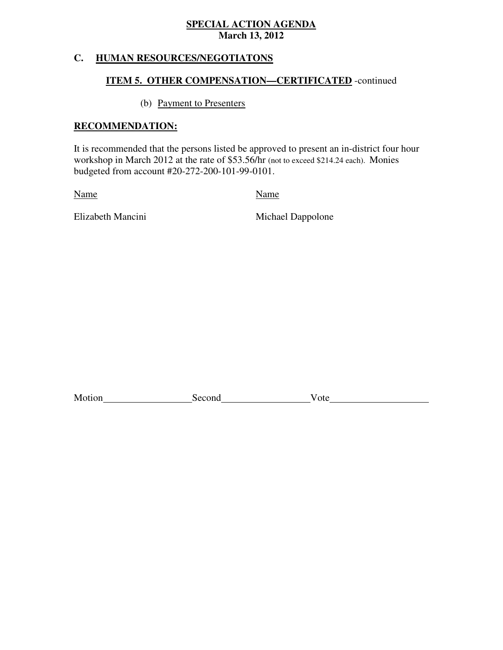# **C. HUMAN RESOURCES/NEGOTIATONS**

#### **ITEM 5. OTHER COMPENSATION—CERTIFICATED** -continued

(b) Payment to Presenters

#### **RECOMMENDATION:**

 It is recommended that the persons listed be approved to present an in-district four hour workshop in March 2012 at the rate of \$53.56/hr (not to exceed \$214.24 each). Monies budgeted from account #20-272-200-101-99-0101.

Name Name

Elizabeth Mancini

Michael Dappolone

| Motion | Second | $\gamma$ te<br>vu |
|--------|--------|-------------------|
|        |        |                   |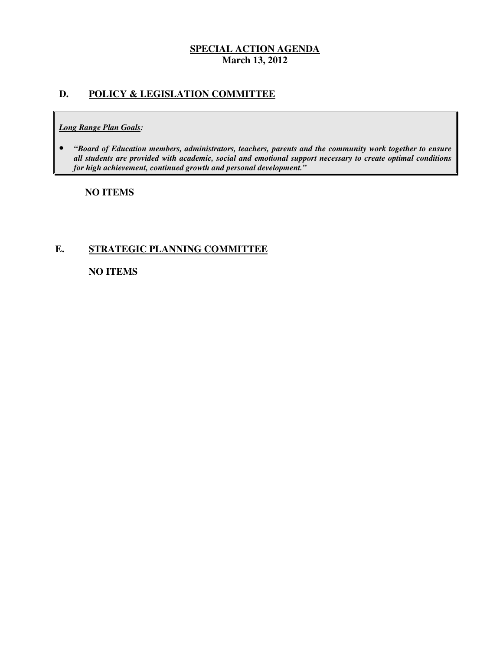### **D. POLICY & LEGISLATION COMMITTEE**

#### *Long Range Plan Goals:*

**•** "Board of Education members, administrators, teachers, parents and the community work together to ensure  *all students are provided with academic, social and emotional support necessary to create optimal conditions for high achievement, continued growth and personal development."* 

#### **NO ITEMS**

### **E. STRATEGIC PLANNING COMMITTEE**

#### **NO ITEMS**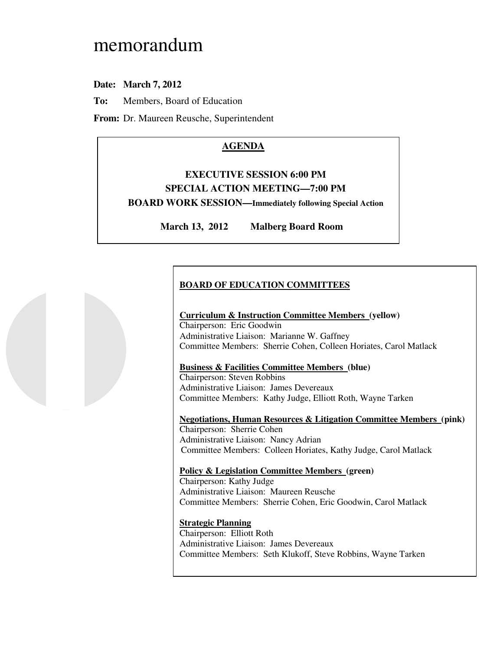# memorandum

# **Date: March 7, 2012**

**To:** Members, Board of Education

**From:** Dr. Maureen Reusche, Superintendent

# **AGENDA**

# **EXECUTIVE SESSION 6:00 PM SPECIAL ACTION MEETING—7:00 PM BOARD WORK SESSION—Immediately following Special Action**

**March 13, 2012 Malberg Board Room** 

# **BOARD OF EDUCATION COMMITTEES**

#### **Curriculum & Instruction Committee Members (yellow)**  Chairperson: Eric Goodwin Administrative Liaison: Marianne W. Gaffney Committee Members: Sherrie Cohen, Colleen Horiates, Carol Matlack

### **Business & Facilities Committee Members (blue)**

 Chairperson: Steven Robbins Administrative Liaison: James Devereaux Committee Members: Kathy Judge, Elliott Roth, Wayne Tarken

 **Negotiations, Human Resources & Litigation Committee Members (pink)**  Chairperson: Sherrie Cohen Administrative Liaison: Nancy Adrian Committee Members: Colleen Horiates, Kathy Judge, Carol Matlack

# **Policy & Legislation Committee Members (green)**

 Chairperson: Kathy Judge Administrative Liaison: Maureen Reusche Committee Members: Sherrie Cohen, Eric Goodwin, Carol Matlack

#### **Strategic Planning**

 Chairperson: Elliott Roth Administrative Liaison: James Devereaux Committee Members: Seth Klukoff, Steve Robbins, Wayne Tarken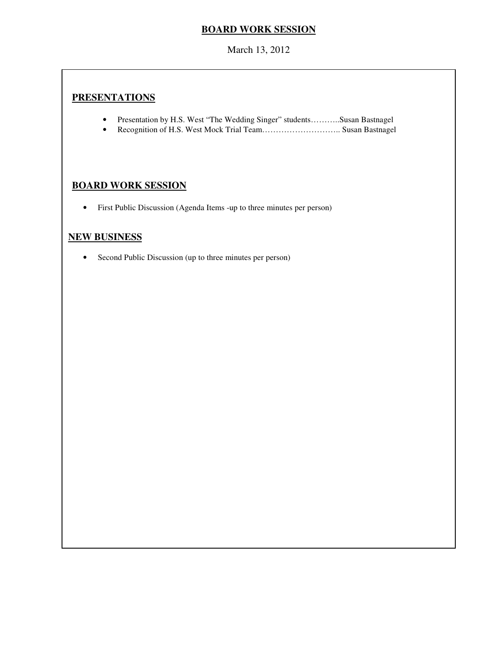# **BOARD WORK SESSION**

March 13, 2012

# **PRESENTATIONS**

- Presentation by H.S. West "The Wedding Singer" students………..Susan Bastnagel
- Recognition of H.S. West Mock Trial Team……………………….. Susan Bastnagel

# **BOARD WORK SESSION**

• First Public Discussion (Agenda Items -up to three minutes per person)

#### **NEW BUSINESS**

• Second Public Discussion (up to three minutes per person)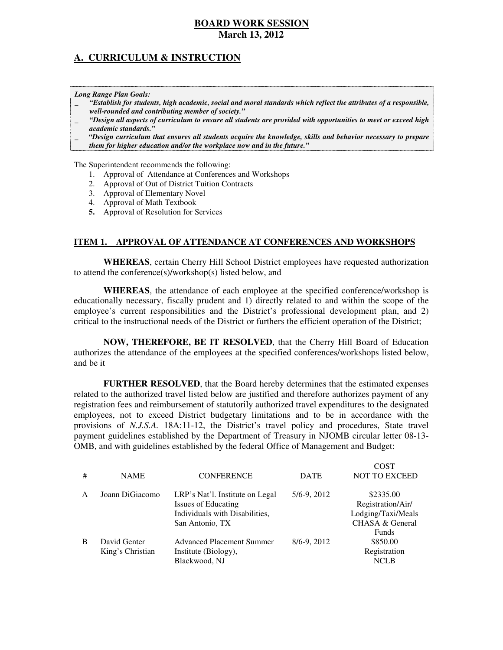# **A. CURRICULUM & INSTRUCTION**

 *Long Range Plan Goals:* 

- \_ *"Establish for students, high academic, social and moral standards which reflect the attributes of a responsible, well-rounded and contributing member of society."*
- \_ *"Design all aspects of curriculum to ensure all students are provided with opportunities to meet or exceed high academic standards."*
- \_ *"Design curriculum that ensures all students acquire the knowledge, skills and behavior necessary to prepare them for higher education and/or the workplace now and in the future."*

The Superintendent recommends the following:

- 1. Approval of Attendance at Conferences and Workshops
- 2. Approval of Out of District Tuition Contracts
- 3. Approval of Elementary Novel
- 4. Approval of Math Textbook
- **5.** Approval of Resolution for Services

#### **ITEM 1. APPROVAL OF ATTENDANCE AT CONFERENCES AND WORKSHOPS**

 **WHEREAS**, certain Cherry Hill School District employees have requested authorization to attend the conference(s)/workshop(s) listed below, and

 **WHEREAS**, the attendance of each employee at the specified conference/workshop is educationally necessary, fiscally prudent and 1) directly related to and within the scope of the employee's current responsibilities and the District's professional development plan, and 2) critical to the instructional needs of the District or furthers the efficient operation of the District;

 **NOW, THEREFORE, BE IT RESOLVED**, that the Cherry Hill Board of Education authorizes the attendance of the employees at the specified conferences/workshops listed below, and be it

 **FURTHER RESOLVED**, that the Board hereby determines that the estimated expenses related to the authorized travel listed below are justified and therefore authorizes payment of any registration fees and reimbursement of statutorily authorized travel expenditures to the designated employees, not to exceed District budgetary limitations and to be in accordance with the provisions of *N.J.S.A.* 18A:11-12, the District's travel policy and procedures, State travel payment guidelines established by the Department of Treasury in NJOMB circular letter 08-13 OMB, and with guidelines established by the federal Office of Management and Budget:

| \$2335.00<br>Joann DiGiacomo<br>LRP's Nat'l. Institute on Legal<br>5/6-9, 2012<br>A<br>Issues of Educating<br>Individuals with Disabilities,<br>San Antonio, TX<br><b>Funds</b><br>\$850.00<br>8/6-9, 2012<br>David Genter<br><b>Advanced Placement Summer</b><br>B<br>Registration<br>King's Christian<br>Institute (Biology),<br>Blackwood, NJ<br><b>NCLB</b> | # | <b>NAME</b> | <b>CONFERENCE</b> | <b>DATE</b> | <b>COST</b><br><b>NOT TO EXCEED</b>                        |
|-----------------------------------------------------------------------------------------------------------------------------------------------------------------------------------------------------------------------------------------------------------------------------------------------------------------------------------------------------------------|---|-------------|-------------------|-------------|------------------------------------------------------------|
|                                                                                                                                                                                                                                                                                                                                                                 |   |             |                   |             | Registration/Air/<br>Lodging/Taxi/Meals<br>CHASA & General |
|                                                                                                                                                                                                                                                                                                                                                                 |   |             |                   |             |                                                            |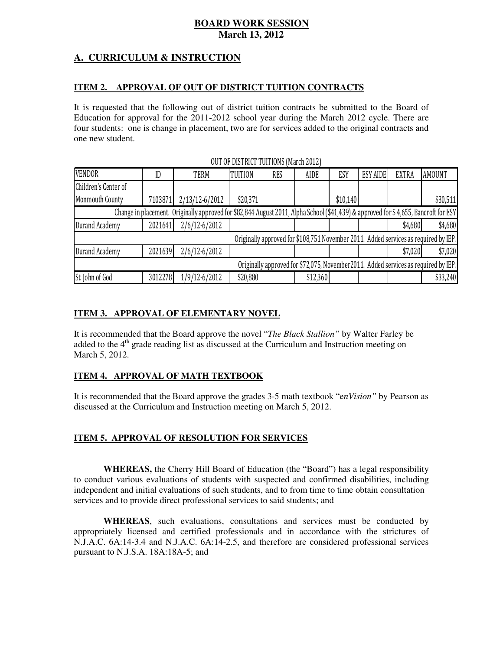# **A. CURRICULUM & INSTRUCTION**

#### **ITEM 2. APPROVAL OF OUT OF DISTRICT TUITION CONTRACTS**

 It is requested that the following out of district tuition contracts be submitted to the Board of Education for approval for the 2011-2012 school year during the March 2012 cycle. There are four students: one is change in placement, two are for services added to the original contracts and one new student.

| <b>VENDOR</b>                                                                       | ID      | <b>TERM</b>                                                                                                                         | <b>TUITION</b> | <b>RES</b> | <b>AIDE</b> | ESY      | <b>ESY AIDE</b> | <b>EXTRA</b> | <b>AMOUNT</b> |
|-------------------------------------------------------------------------------------|---------|-------------------------------------------------------------------------------------------------------------------------------------|----------------|------------|-------------|----------|-----------------|--------------|---------------|
| Children's Center of                                                                |         |                                                                                                                                     |                |            |             |          |                 |              |               |
| Monmouth County                                                                     | 7103871 | 2/13/12-6/2012                                                                                                                      | \$20,371       |            |             | \$10,140 |                 |              | \$30,511      |
|                                                                                     |         | Change in placement. Originally approved for \$82,844 August 2011, Alpha School (\$41,439) & approved for \$4,655, Bancroft for ESY |                |            |             |          |                 |              |               |
| Durand Academy                                                                      | 2021641 | $2/6/12 - 6/2012$                                                                                                                   |                |            |             |          |                 | \$4,680      | \$4,680       |
| Originally approved for \$108,751 November 2011. Added services as required by IEP. |         |                                                                                                                                     |                |            |             |          |                 |              |               |
| Durand Academy                                                                      | 2021639 | $2/6/12 - 6/2012$                                                                                                                   |                |            |             |          |                 | \$7,020      | \$7,020       |
| Originally approved for \$72,075, November2011. Added services as required by IEP.  |         |                                                                                                                                     |                |            |             |          |                 |              |               |
| St. John of God                                                                     | 3012278 | 1/9/12-6/2012                                                                                                                       | \$20,880       |            | \$12,360    |          |                 |              | \$33,240      |

#### OUT OF DISTRICT TUITIONS (March 2012)

### **ITEM 3. APPROVAL OF ELEMENTARY NOVEL**

 It is recommended that the Board approve the novel "*The Black Stallion"* by Walter Farley be added to the 4<sup>th</sup> grade reading list as discussed at the Curriculum and Instruction meeting on March 5, 2012.

#### **ITEM 4. APPROVAL OF MATH TEXTBOOK**

 It is recommended that the Board approve the grades 3-5 math textbook "e*nVision"* by Pearson as discussed at the Curriculum and Instruction meeting on March 5, 2012.

#### **ITEM 5. APPROVAL OF RESOLUTION FOR SERVICES**

 **WHEREAS,** the Cherry Hill Board of Education (the "Board") has a legal responsibility to conduct various evaluations of students with suspected and confirmed disabilities, including independent and initial evaluations of such students, and to from time to time obtain consultation services and to provide direct professional services to said students; and

 **WHEREAS**, such evaluations, consultations and services must be conducted by appropriately licensed and certified professionals and in accordance with the strictures of N.J.A.C. 6A:14-3.4 and N.J.A.C. 6A:14-2.5, and therefore are considered professional services pursuant to N.J.S.A. 18A:18A-5; and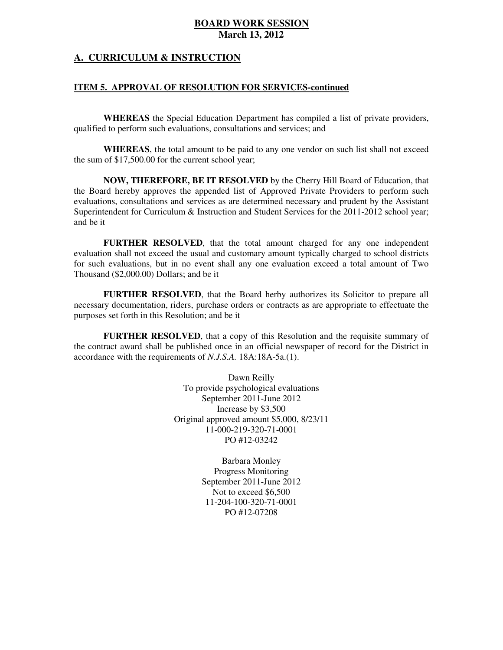#### **A. CURRICULUM & INSTRUCTION**

#### **ITEM 5. APPROVAL OF RESOLUTION FOR SERVICES-continued**

 **WHEREAS** the Special Education Department has compiled a list of private providers, qualified to perform such evaluations, consultations and services; and

 **WHEREAS**, the total amount to be paid to any one vendor on such list shall not exceed the sum of \$17,500.00 for the current school year;

 **NOW, THEREFORE, BE IT RESOLVED** by the Cherry Hill Board of Education, that the Board hereby approves the appended list of Approved Private Providers to perform such evaluations, consultations and services as are determined necessary and prudent by the Assistant Superintendent for Curriculum & Instruction and Student Services for the 2011-2012 school year; and be it

 **FURTHER RESOLVED**, that the total amount charged for any one independent evaluation shall not exceed the usual and customary amount typically charged to school districts for such evaluations, but in no event shall any one evaluation exceed a total amount of Two Thousand (\$2,000.00) Dollars; and be it

 **FURTHER RESOLVED**, that the Board herby authorizes its Solicitor to prepare all necessary documentation, riders, purchase orders or contracts as are appropriate to effectuate the purposes set forth in this Resolution; and be it

 **FURTHER RESOLVED**, that a copy of this Resolution and the requisite summary of the contract award shall be published once in an official newspaper of record for the District in accordance with the requirements of *N.J.S.A.* 18A:18A-5a.(1).

> Dawn Reilly To provide psychological evaluations September 2011-June 2012 Increase by \$3,500 Original approved amount \$5,000, 8/23/11 PO #12-03242 11-000-219-320-71-0001

> > Barbara Monley Progress Monitoring September 2011-June 2012 Not to exceed \$6,500 PO #12-07208 11-204-100-320-71-0001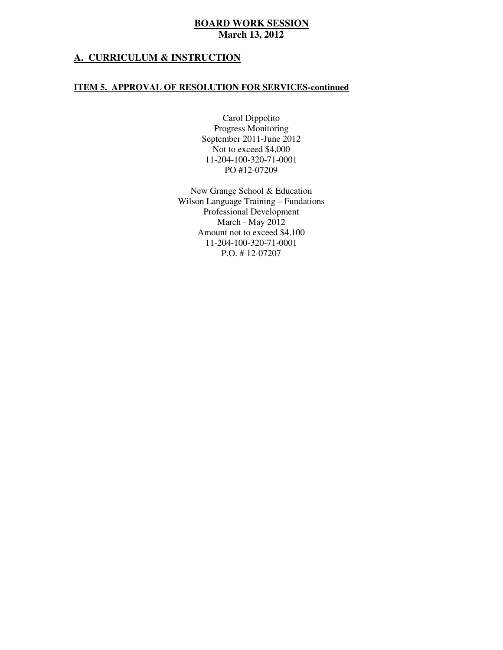#### **A. CURRICULUM & INSTRUCTION**

#### **ITEM 5. APPROVAL OF RESOLUTION FOR SERVICES-continued**

 Carol Dippolito Progress Monitoring September 2011-June 2012 Not to exceed \$4,000 PO #12-07209 11-204-100-320-71-0001

 New Grange School & Education Wilson Language Training – Fundations March - May 2012 Amount not to exceed \$4,100 P.O. # 12-07207 Professional Development 11-204-100-320-71-0001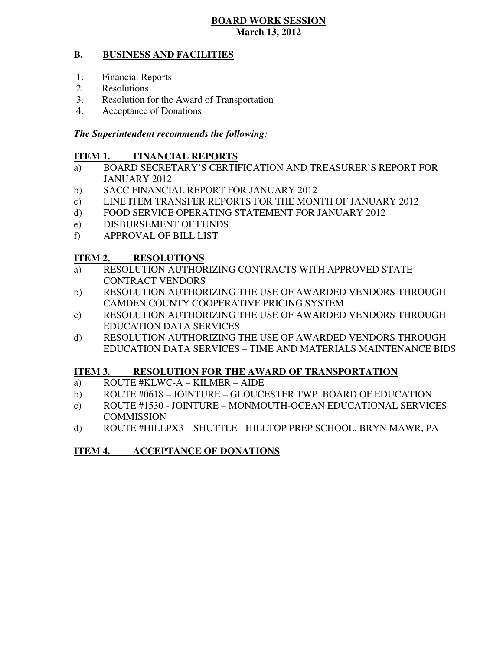#### **B. BUSINESS AND FACILITIES**

- 1. Financial Reports
- 2. Resolutions
- 3. Resolution for the Award of Transportation
- 4. Acceptance of Donations

#### *The Superintendent recommends the following:*

#### **ITEM 1. FINANCIAL REPORTS**

- a) BOARD SECRETARY'S CERTIFICATION AND TREASURER'S REPORT FOR JANUARY 2012
- $b)$ SACC FINANCIAL REPORT FOR JANUARY 2012
- $\mathbf{c})$ LINE ITEM TRANSFER REPORTS FOR THE MONTH OF JANUARY 2012
- $\rm d$ FOOD SERVICE OPERATING STATEMENT FOR JANUARY 2012
- e) DISBURSEMENT OF FUNDS
- f) APPROVAL OF BILL LIST

#### **ITEM 2. RESOLUTIONS**

- a) RESOLUTION AUTHORIZING CONTRACTS WITH APPROVED STATE CONTRACT VENDORS
- b) RESOLUTION AUTHORIZING THE USE OF AWARDED VENDORS THROUGH CAMDEN COUNTY COOPERATIVE PRICING SYSTEM
- c) RESOLUTION AUTHORIZING THE USE OF AWARDED VENDORS THROUGH EDUCATION DATA SERVICES
- d) RESOLUTION AUTHORIZING THE USE OF AWARDED VENDORS THROUGH EDUCATION DATA SERVICES – TIME AND MATERIALS MAINTENANCE BIDS

#### **ITEM 3. RESOLUTION FOR THE AWARD OF TRANSPORTATION**

- a) ROUTE #KLWC-A KILMER AIDE
- b) ROUTE #0618 JOINTURE GLOUCESTER TWP. BOARD OF EDUCATION
- c) ROUTE #1530 JOINTURE MONMOUTH-OCEAN EDUCATIONAL SERVICES **COMMISSION**
- d) ROUTE #HILLPX3 SHUTTLE HILLTOP PREP SCHOOL, BRYN MAWR, PA

#### **ITEM 4. ACCEPTANCE OF DONATIONS**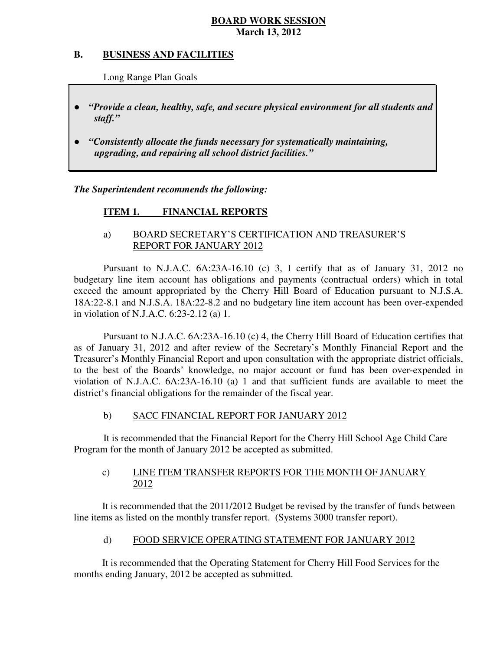#### **B. B. BUSINESS AND FACILITIES**

Long Range Plan Goals

- *"Provide a clean, healthy, safe, and secure physical environment for all students and staff."*
- *"Consistently allocate the funds necessary for systematically maintaining, upgrading, and repairing all school district facilities."*

 *The Superintendent recommends the following:* 

#### **ITEM 1. FINANCIAL REPORTS**

### a) BOARD SECRETARY'S CERTIFICATION AND TREASURER'S REPORT FOR JANUARY 2012

 Pursuant to N.J.A.C. 6A:23A-16.10 (c) 3, I certify that as of January 31, 2012 no budgetary line item account has obligations and payments (contractual orders) which in total exceed the amount appropriated by the Cherry Hill Board of Education pursuant to N.J.S.A. 18A:22-8.1 and N.J.S.A. 18A:22-8.2 and no budgetary line item account has been over-expended in violation of N.J.A.C. 6:23-2.12 (a) 1.

 Pursuant to N.J.A.C. 6A:23A-16.10 (c) 4, the Cherry Hill Board of Education certifies that as of January 31, 2012 and after review of the Secretary's Monthly Financial Report and the Treasurer's Monthly Financial Report and upon consultation with the appropriate district officials, to the best of the Boards' knowledge, no major account or fund has been over-expended in violation of N.J.A.C. 6A:23A-16.10 (a) 1 and that sufficient funds are available to meet the district's financial obligations for the remainder of the fiscal year.

#### $b)$ SACC FINANCIAL REPORT FOR JANUARY 2012

 It is recommended that the Financial Report for the Cherry Hill School Age Child Care Program for the month of January 2012 be accepted as submitted.

#### $c)$ LINE ITEM TRANSFER REPORTS FOR THE MONTH OF JANUARY 2012

 It is recommended that the 2011/2012 Budget be revised by the transfer of funds between line items as listed on the monthly transfer report. (Systems 3000 transfer report).

#### $\mathbf{d}$ FOOD SERVICE OPERATING STATEMENT FOR JANUARY 2012

 It is recommended that the Operating Statement for Cherry Hill Food Services for the months ending January, 2012 be accepted as submitted.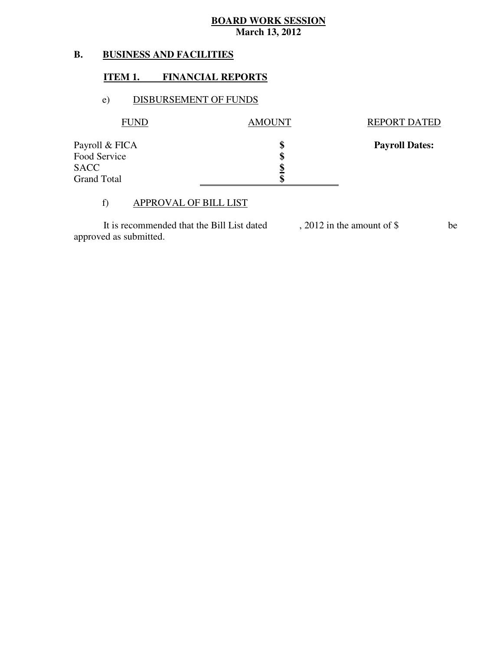#### **B. B. BUSINESS AND FACILITIES**

#### **ITEM 1. FINANCIAL REPORTS**

#### e) DISBURSEMENT OF FUNDS

| <b>AMOUNT</b> | <b>REPORT DATED</b>   |
|---------------|-----------------------|
| S             | <b>Payroll Dates:</b> |
|               |                       |
| Φ             |                       |
|               |                       |
|               |                       |

#### f) APPROVAL OF BILL LIST

 approved as submitted. It is recommended that the Bill List dated , 2012 in the amount of \$ be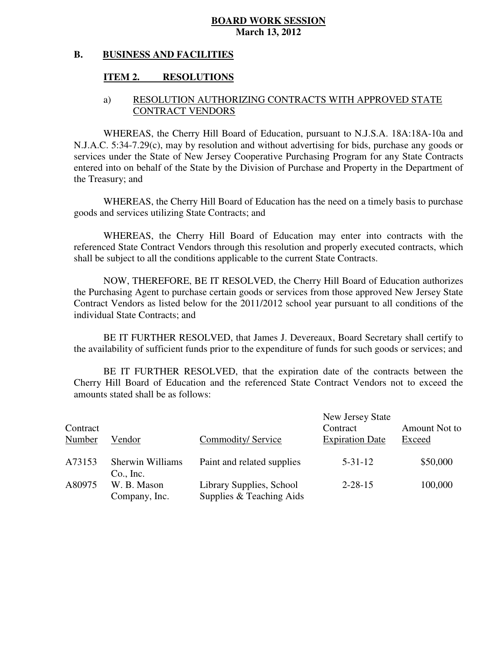#### **B. BUSINESS AND FACILITIES**

#### **ITEM 2. RESOLUTIONS**

#### a) RESOLUTION AUTHORIZING CONTRACTS WITH APPROVED STATE CONTRACT VENDORS

 WHEREAS, the Cherry Hill Board of Education, pursuant to N.J.S.A. 18A:18A-10a and N.J.A.C. 5:34-7.29(c), may by resolution and without advertising for bids, purchase any goods or services under the State of New Jersey Cooperative Purchasing Program for any State Contracts entered into on behalf of the State by the Division of Purchase and Property in the Department of the Treasury; and

 WHEREAS, the Cherry Hill Board of Education has the need on a timely basis to purchase goods and services utilizing State Contracts; and

 WHEREAS, the Cherry Hill Board of Education may enter into contracts with the referenced State Contract Vendors through this resolution and properly executed contracts, which shall be subject to all the conditions applicable to the current State Contracts.

 NOW, THEREFORE, BE IT RESOLVED, the Cherry Hill Board of Education authorizes the Purchasing Agent to purchase certain goods or services from those approved New Jersey State Contract Vendors as listed below for the 2011/2012 school year pursuant to all conditions of the individual State Contracts; and

 the availability of sufficient funds prior to the expenditure of funds for such goods or services; and BE IT FURTHER RESOLVED, that James J. Devereaux, Board Secretary shall certify to

 Cherry Hill Board of Education and the referenced State Contract Vendors not to exceed the amounts stated shall be as follows: BE IT FURTHER RESOLVED, that the expiration date of the contracts between the

| Contract<br>Number | Vendor                               | Commodity/Service                                    | New Jersey State<br>Contract<br><b>Expiration Date</b> | Amount Not to<br>Exceed |
|--------------------|--------------------------------------|------------------------------------------------------|--------------------------------------------------------|-------------------------|
| A73153             | <b>Sherwin Williams</b><br>Co., Inc. | Paint and related supplies                           | $5 - 31 - 12$                                          | \$50,000                |
| A80975             | W. B. Mason<br>Company, Inc.         | Library Supplies, School<br>Supplies & Teaching Aids | $2 - 28 - 15$                                          | 100,000                 |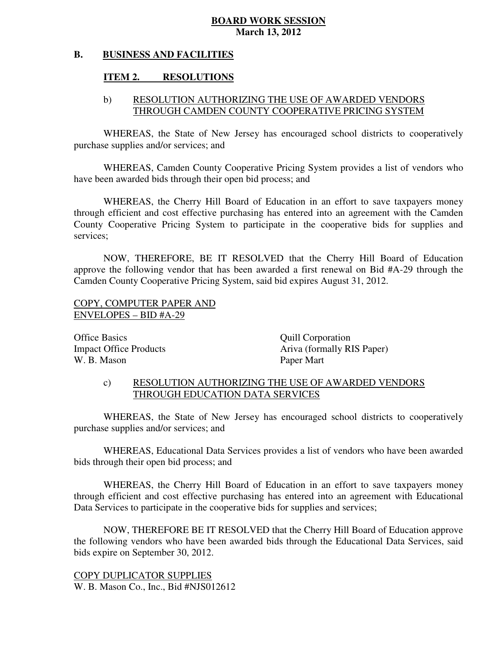#### **B. BUSINESS AND FACILITIES**

#### **ITEM 2. RESOLUTIONS**

### b) RESOLUTION AUTHORIZING THE USE OF AWARDED VENDORS THROUGH CAMDEN COUNTY COOPERATIVE PRICING SYSTEM

 WHEREAS, the State of New Jersey has encouraged school districts to cooperatively purchase supplies and/or services; and

 WHEREAS, Camden County Cooperative Pricing System provides a list of vendors who have been awarded bids through their open bid process; and

 WHEREAS, the Cherry Hill Board of Education in an effort to save taxpayers money through efficient and cost effective purchasing has entered into an agreement with the Camden County Cooperative Pricing System to participate in the cooperative bids for supplies and services;

 NOW, THEREFORE, BE IT RESOLVED that the Cherry Hill Board of Education approve the following vendor that has been awarded a first renewal on Bid #A-29 through the Camden County Cooperative Pricing System, said bid expires August 31, 2012.

### COPY, COMPUTER PAPER AND ENVELOPES – BID #A-29

**Office Basics Impact Office Products** W. B. Mason

Quill Corporation Ariva (formally RIS Paper) Paper Mart

## c) RESOLUTION AUTHORIZING THE USE OF AWARDED VENDORS THROUGH EDUCATION DATA SERVICES

 WHEREAS, the State of New Jersey has encouraged school districts to cooperatively purchase supplies and/or services; and

 WHEREAS, Educational Data Services provides a list of vendors who have been awarded bids through their open bid process; and

 WHEREAS, the Cherry Hill Board of Education in an effort to save taxpayers money through efficient and cost effective purchasing has entered into an agreement with Educational Data Services to participate in the cooperative bids for supplies and services;

 NOW, THEREFORE BE IT RESOLVED that the Cherry Hill Board of Education approve the following vendors who have been awarded bids through the Educational Data Services, said bids expire on September 30, 2012.

 COPY DUPLICATOR SUPPLIES W. B. Mason Co., Inc., Bid #NJS012612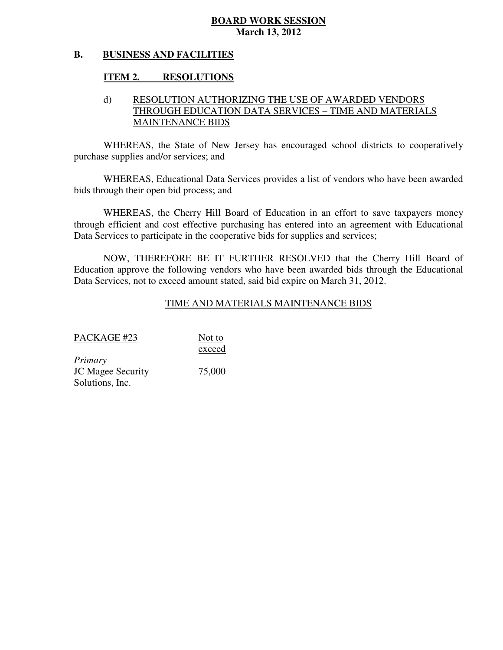#### **B. BUSINESS AND FACILITIES**

#### **ITEM 2. RESOLUTIONS**

### d) RESOLUTION AUTHORIZING THE USE OF AWARDED VENDORS THROUGH EDUCATION DATA SERVICES – TIME AND MATERIALS MAINTENANCE BIDS

 WHEREAS, the State of New Jersey has encouraged school districts to cooperatively purchase supplies and/or services; and

 WHEREAS, Educational Data Services provides a list of vendors who have been awarded bids through their open bid process; and

 WHEREAS, the Cherry Hill Board of Education in an effort to save taxpayers money through efficient and cost effective purchasing has entered into an agreement with Educational Data Services to participate in the cooperative bids for supplies and services;

 NOW, THEREFORE BE IT FURTHER RESOLVED that the Cherry Hill Board of Education approve the following vendors who have been awarded bids through the Educational Data Services, not to exceed amount stated, said bid expire on March 31, 2012.

### TIME AND MATERIALS MAINTENANCE BIDS

| PACKAGE #23              | Not to |
|--------------------------|--------|
|                          | exceed |
| Primary                  |        |
| <b>JC Magee Security</b> | 75,000 |
| Solutions, Inc.          |        |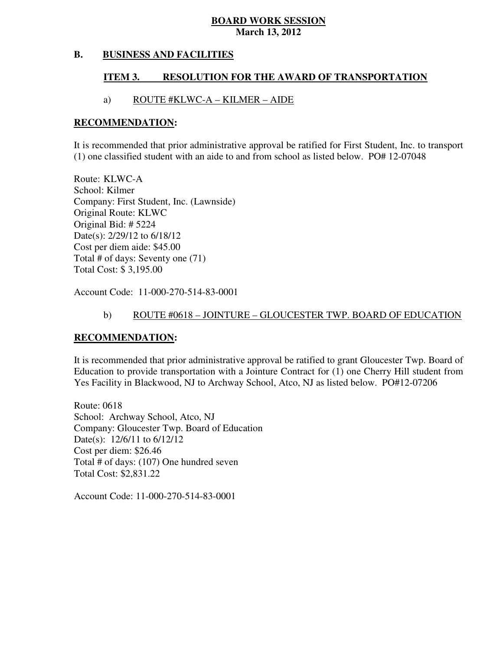#### **B. BUSINESS AND FACILITIES**

#### **ITEM 3. RESOLUTION FOR THE AWARD OF TRANSPORTATION**

#### a) ROUTE #KLWC-A – KILMER – AIDE

#### **RECOMMENDATION:**

 It is recommended that prior administrative approval be ratified for First Student, Inc. to transport (1) one classified student with an aide to and from school as listed below. PO# 12-07048

 Route: KLWC-A School: Kilmer Company: First Student, Inc. (Lawnside) Original Route: KLWC Original Bid: # 5224 Date(s): 2/29/12 to 6/18/12 Cost per diem aide: \$45.00 Total # of days: Seventy one (71) Total Cost: \$ 3,195.00

Account Code: 11-000-270-514-83-0001

#### b) ROUTE #0618 – JOINTURE – GLOUCESTER TWP. BOARD OF EDUCATION

#### **RECOMMENDATION:**

 It is recommended that prior administrative approval be ratified to grant Gloucester Twp. Board of Education to provide transportation with a Jointure Contract for (1) one Cherry Hill student from Yes Facility in Blackwood, NJ to Archway School, Atco, NJ as listed below. PO#12-07206

 Route: 0618 School: Archway School, Atco, NJ Company: Gloucester Twp. Board of Education Date(s): 12/6/11 to 6/12/12 Cost per diem: \$26.46 Total # of days: (107) One hundred seven Total Cost: \$2,831.22

Account Code: 11-000-270-514-83-0001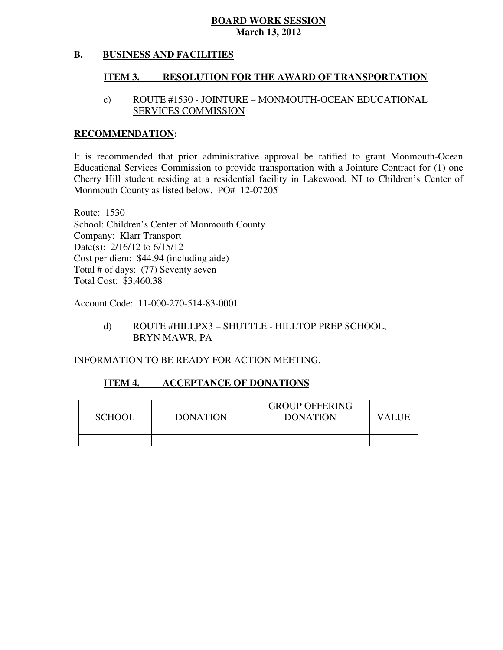#### **B. BUSINESS AND FACILITIES**

#### **ITEM 3. RESOLUTION FOR THE AWARD OF TRANSPORTATION**

### c) ROUTE #1530 - JOINTURE – MONMOUTH-OCEAN EDUCATIONAL SERVICES COMMISSION

#### **RECOMMENDATION:**

 It is recommended that prior administrative approval be ratified to grant Monmouth-Ocean Educational Services Commission to provide transportation with a Jointure Contract for (1) one Cherry Hill student residing at a residential facility in Lakewood, NJ to Children's Center of Monmouth County as listed below. PO# 12-07205

 Route: 1530 School: Children's Center of Monmouth County Company: Klarr Transport Date(s): 2/16/12 to 6/15/12 Cost per diem: \$44.94 (including aide) Total # of days: (77) Seventy seven Total Cost: \$3,460.38

Account Code: 11-000-270-514-83-0001

### BRYN MAWR, PA d) ROUTE #HILLPX3 – SHUTTLE - HILLTOP PREP SCHOOL,

INFORMATION TO BE READY FOR ACTION MEETING.

#### **ITEM 4. ACCEPTANCE OF DONATIONS**

| <b>SCHOOI</b> | <b>DONATION</b> | <b>GROUP OFFERING</b><br><b>DONATION</b> |  |
|---------------|-----------------|------------------------------------------|--|
|               |                 |                                          |  |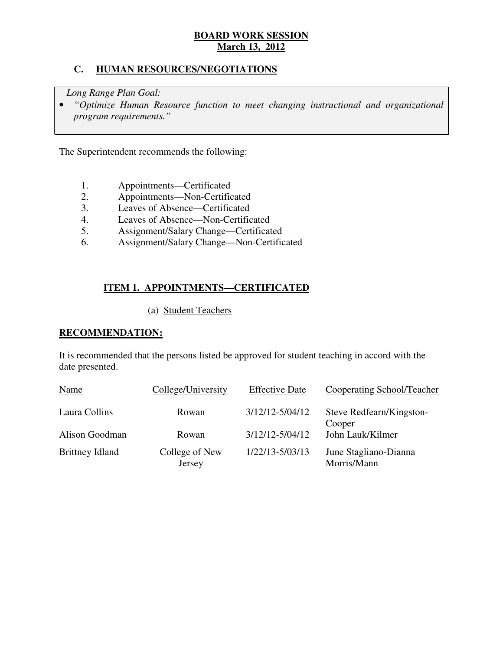### **C. HUMAN RESOURCES/NEGOTIATIONS**

*Long Range Plan Goal:* 

**•** "Optimize Human Resource function to meet changing instructional and organizational *program requirements."* 

The Superintendent recommends the following:

- 1. Appointments—Certificated
- 2. Appointments—Non-Certificated
- 3. Leaves of Absence—Certificated
- 4. Leaves of Absence—Non-Certificated
- 5. Assignment/Salary Change—Certificated
- 6. Assignment/Salary Change—Non-Certificated

### **ITEM 1. APPOINTMENTS—CERTIFICATED**

(a) Student Teachers

#### **RECOMMENDATION:**

 It is recommended that the persons listed be approved for student teaching in accord with the date presented.

| Name                   | College/University       | <b>Effective Date</b> | Cooperating School/Teacher           |
|------------------------|--------------------------|-----------------------|--------------------------------------|
| Laura Collins          | Rowan                    | $3/12/12 - 5/04/12$   | Steve Redfearn/Kingston-<br>Cooper   |
| Alison Goodman         | Rowan                    | $3/12/12 - 5/04/12$   | John Lauk/Kilmer                     |
| <b>Brittney Idland</b> | College of New<br>Jersey | 1/22/13-5/03/13       | June Stagliano-Dianna<br>Morris/Mann |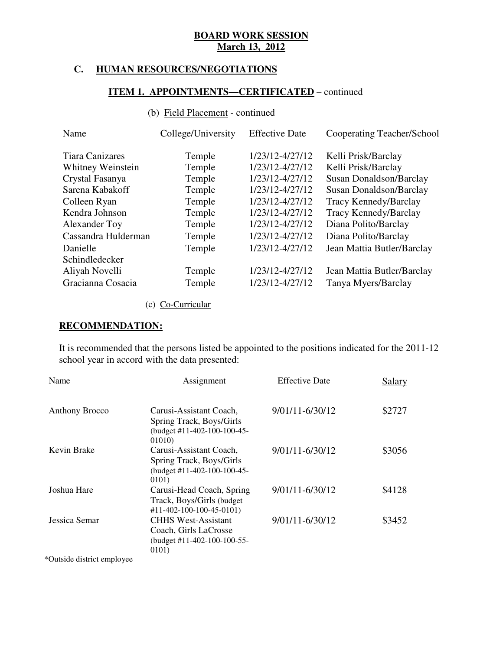# **C. HUMAN RESOURCES/NEGOTIATIONS**

### **ITEM 1. APPOINTMENTS—CERTIFICATED** – continued

#### (b) Field Placement - continued

| Name                   | College/University | <b>Effective Date</b> | <b>Cooperating Teacher/School</b> |
|------------------------|--------------------|-----------------------|-----------------------------------|
| <b>Tiara Canizares</b> | Temple             | 1/23/12-4/27/12       | Kelli Prisk/Barclay               |
| Whitney Weinstein      | Temple             | 1/23/12-4/27/12       | Kelli Prisk/Barclay               |
| Crystal Fasanya        | Temple             | 1/23/12-4/27/12       | Susan Donaldson/Barclay           |
| Sarena Kabakoff        | Temple             | 1/23/12-4/27/12       | Susan Donaldson/Barclay           |
| Colleen Ryan           | Temple             | 1/23/12-4/27/12       | Tracy Kennedy/Barclay             |
| Kendra Johnson         | Temple             | 1/23/12-4/27/12       | Tracy Kennedy/Barclay             |
| Alexander Toy          | Temple             | 1/23/12-4/27/12       | Diana Polito/Barclay              |
| Cassandra Hulderman    | Temple             | 1/23/12-4/27/12       | Diana Polito/Barclay              |
| Danielle               | Temple             | 1/23/12-4/27/12       | Jean Mattia Butler/Barclay        |
| Schindledecker         |                    |                       |                                   |
| Aliyah Novelli         | Temple             | 1/23/12-4/27/12       | Jean Mattia Butler/Barclay        |
| Gracianna Cosacia      | Temple             | 1/23/12-4/27/12       | Tanya Myers/Barclay               |

# (c) Co-Curricular

### **RECOMMENDATION:**

 It is recommended that the persons listed be appointed to the positions indicated for the 2011-12 school year in accord with the data presented:

| Name                  | Assignment                                                                                      | <b>Effective Date</b> | Salary |
|-----------------------|-------------------------------------------------------------------------------------------------|-----------------------|--------|
| <b>Anthony Brocco</b> | Carusi-Assistant Coach,<br>Spring Track, Boys/Girls<br>(budget #11-402-100-100-45-<br>01010)    | 9/01/11-6/30/12       | \$2727 |
| Kevin Brake           | Carusi-Assistant Coach,<br>Spring Track, Boys/Girls<br>(budget #11-402-100-100-45-<br>0101)     | 9/01/11-6/30/12       | \$3056 |
| Joshua Hare           | Carusi-Head Coach, Spring<br>Track, Boys/Girls (budget)<br>$\#11 - 402 - 100 - 100 - 45 - 0101$ | 9/01/11-6/30/12       | \$4128 |
| Jessica Semar         | <b>CHHS West-Assistant</b><br>Coach, Girls LaCrosse<br>(budget #11-402-100-100-55-<br>0101)     | 9/01/11-6/30/12       | \$3452 |

\*Outside district employee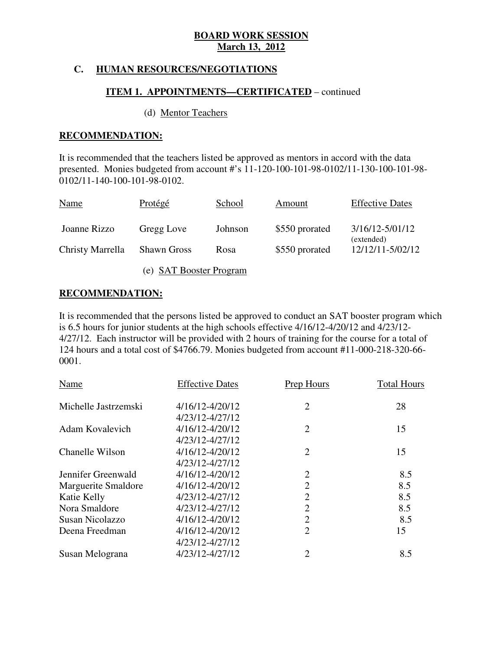### **C. HUMAN RESOURCES/NEGOTIATIONS**

#### **ITEM 1. APPOINTMENTS—CERTIFICATED** – continued

#### (d) Mentor Teachers

### **RECOMMENDATION:**

 It is recommended that the teachers listed be approved as mentors in accord with the data presented. Monies budgeted from account #'s 11-120-100-101-98-0102/11-130-100-101-98 0102/11-140-100-101-98-0102.

| <b>Name</b>      | <b>Protégé</b>     | School  | Amount         | <b>Effective Dates</b>            |
|------------------|--------------------|---------|----------------|-----------------------------------|
| Joanne Rizzo     | Gregg Love         | Johnson | \$550 prorated | $3/16/12 - 5/01/12$<br>(extended) |
| Christy Marrella | <b>Shawn Gross</b> | Rosa    | \$550 prorated | 12/12/11-5/02/12                  |
|                  |                    |         |                |                                   |

(e) SAT Booster Program

# **RECOMMENDATION:**

 It is recommended that the persons listed be approved to conduct an SAT booster program which is 6.5 hours for junior students at the high schools effective 4/16/12-4/20/12 and 4/23/12 4/27/12. Each instructor will be provided with 2 hours of training for the course for a total of 124 hours and a total cost of \$4766.79. Monies budgeted from account #11-000-218-320-66 0001.

| <b>Effective Dates</b> | <b>Prep Hours</b> | <b>Total Hours</b> |
|------------------------|-------------------|--------------------|
| 4/16/12-4/20/12        | $\overline{2}$    | 28                 |
| 4/23/12-4/27/12        |                   |                    |
| 4/16/12-4/20/12        | $\overline{2}$    | 15                 |
| 4/23/12-4/27/12        |                   |                    |
| 4/16/12-4/20/12        | $\overline{2}$    | 15                 |
| 4/23/12-4/27/12        |                   |                    |
| 4/16/12-4/20/12        | $\overline{2}$    | 8.5                |
| 4/16/12-4/20/12        | $\overline{2}$    | 8.5                |
| 4/23/12-4/27/12        | $\overline{2}$    | 8.5                |
| 4/23/12-4/27/12        | $\overline{2}$    | 8.5                |
| 4/16/12-4/20/12        | $\mathfrak{2}$    | 8.5                |
| 4/16/12-4/20/12        | $\overline{2}$    | 15                 |
| 4/23/12-4/27/12        |                   |                    |
| 4/23/12-4/27/12        | $\overline{2}$    | 8.5                |
|                        |                   |                    |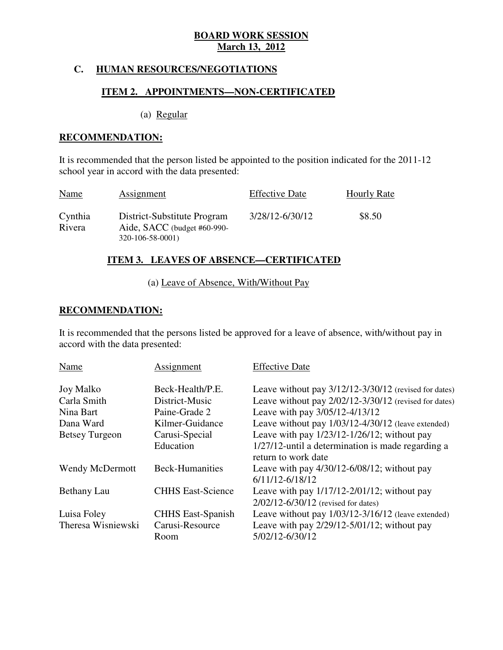### **C. HUMAN RESOURCES/NEGOTIATIONS**

### **ITEM 2. APPOINTMENTS—NON-CERTIFICATED**

(a) Regular

#### **RECOMMENDATION:**

 It is recommended that the person listed be appointed to the position indicated for the 2011-12 school year in accord with the data presented:

| Name              | Assignment                                                                     | <b>Effective Date</b> | <b>Hourly Rate</b> |
|-------------------|--------------------------------------------------------------------------------|-----------------------|--------------------|
| Cynthia<br>Rivera | District-Substitute Program<br>Aide, SACC (budget #60-990-<br>320-106-58-0001) | 3/28/12-6/30/12       | \$8.50             |

### **ITEM 3. LEAVES OF ABSENCE—CERTIFICATED**

# (a) Leave of Absence, With/Without Pay

# **RECOMMENDATION:**

 It is recommended that the persons listed be approved for a leave of absence, with/without pay in accord with the data presented:

| Name                   | Assignment               | <b>Effective Date</b>                                                                       |
|------------------------|--------------------------|---------------------------------------------------------------------------------------------|
| <b>Joy Malko</b>       | Beck-Health/P.E.         | Leave without pay 3/12/12-3/30/12 (revised for dates)                                       |
| Carla Smith            | District-Music           | Leave without pay 2/02/12-3/30/12 (revised for dates)                                       |
| Nina Bart              | Paine-Grade 2            | Leave with pay 3/05/12-4/13/12                                                              |
| Dana Ward              | Kilmer-Guidance          | Leave without pay 1/03/12-4/30/12 (leave extended)                                          |
| <b>Betsey Turgeon</b>  | Carusi-Special           | Leave with pay $1/23/12 - 1/26/12$ ; without pay                                            |
|                        | Education                | $1/27/12$ -until a determination is made regarding a<br>return to work date                 |
| <b>Wendy McDermott</b> | <b>Beck-Humanities</b>   | Leave with pay $4/30/12 - 6/08/12$ ; without pay<br>$6/11/12 - 6/18/12$                     |
| Bethany Lau            | <b>CHHS East-Science</b> | Leave with pay $1/17/12 - 2/01/12$ ; without pay<br>$2/02/12 - 6/30/12$ (revised for dates) |
| Luisa Foley            | <b>CHHS</b> East-Spanish | Leave without pay 1/03/12-3/16/12 (leave extended)                                          |
| Theresa Wisniewski     | Carusi-Resource<br>Room  | Leave with pay $2/29/12 - 5/01/12$ ; without pay<br>5/02/12-6/30/12                         |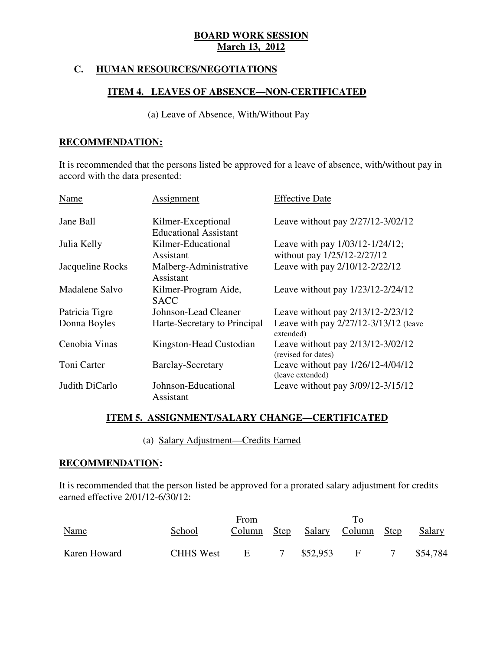# **C. HUMAN RESOURCES/NEGOTIATIONS**

#### **ITEM 4. LEAVES OF ABSENCE—NON-CERTIFICATED**

### (a) Leave of Absence, With/Without Pay

#### **RECOMMENDATION:**

 It is recommended that the persons listed be approved for a leave of absence, with/without pay in accord with the data presented:

| Name             | Assignment                                         | <b>Effective Date</b>                                               |
|------------------|----------------------------------------------------|---------------------------------------------------------------------|
| Jane Ball        | Kilmer-Exceptional<br><b>Educational Assistant</b> | Leave without pay 2/27/12-3/02/12                                   |
| Julia Kelly      | Kilmer-Educational<br>Assistant                    | Leave with pay $1/03/12 - 1/24/12$ ;<br>without pay 1/25/12-2/27/12 |
| Jacqueline Rocks | Malberg-Administrative<br>Assistant                | Leave with pay 2/10/12-2/22/12                                      |
| Madalene Salvo   | Kilmer-Program Aide,<br><b>SACC</b>                | Leave without pay 1/23/12-2/24/12                                   |
| Patricia Tigre   | Johnson-Lead Cleaner                               | Leave without pay 2/13/12-2/23/12                                   |
| Donna Boyles     | Harte-Secretary to Principal                       | Leave with pay 2/27/12-3/13/12 (leave<br>extended)                  |
| Cenobia Vinas    | Kingston-Head Custodian                            | Leave without pay 2/13/12-3/02/12<br>(revised for dates)            |
| Toni Carter      | <b>Barclay-Secretary</b>                           | Leave without pay $1/26/12 - 4/04/12$<br>(leave extended)           |
| Judith DiCarlo   | Johnson-Educational<br>Assistant                   | Leave without pay 3/09/12-3/15/12                                   |

# **ITEM 5. ASSIGNMENT/SALARY CHANGE—CERTIFICATED**

(a) Salary Adjustment—Credits Earned

### **RECOMMENDATION:**

 It is recommended that the person listed be approved for a prorated salary adjustment for credits earned effective 2/01/12-6/30/12:

| <b>Name</b>  | School           | From<br>Column | <b>Step</b> |          | $T_{\Omega}$<br>Salary Column Step | Salary   |
|--------------|------------------|----------------|-------------|----------|------------------------------------|----------|
| Karen Howard | <b>CHHS West</b> | $E_{\perp}$    |             | \$52,953 | F                                  | \$54,784 |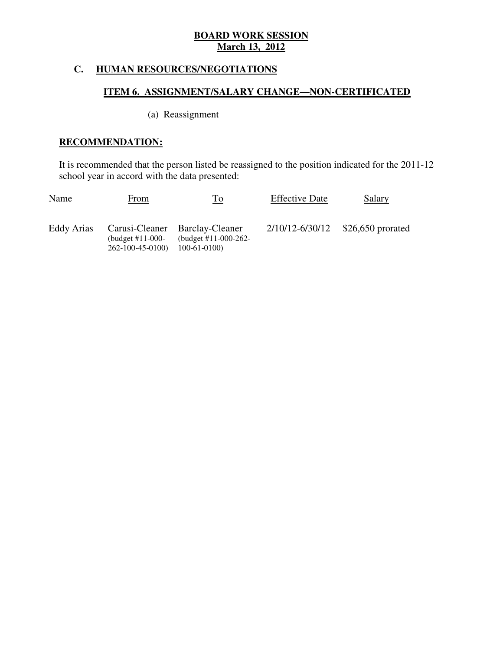# **C. HUMAN RESOURCES/NEGOTIATIONS**

# **ITEM 6. ASSIGNMENT/SALARY CHANGE—NON-CERTIFICATED**

# (a) Reassignment

# **RECOMMENDATION:**

 It is recommended that the person listed be reassigned to the position indicated for the 2011-12 school year in accord with the data presented:

| Name       | From                                          | To                                                                         | <b>Effective Date</b> | <b>Salary</b>                         |
|------------|-----------------------------------------------|----------------------------------------------------------------------------|-----------------------|---------------------------------------|
| Eddy Arias | (budget $#11-000-$<br>$262 - 100 - 45 - 0100$ | Carusi-Cleaner Barclay-Cleaner<br>(budget $\#11-000-262-$<br>$100-61-0100$ |                       | $2/10/12 - 6/30/12$ \$26,650 prorated |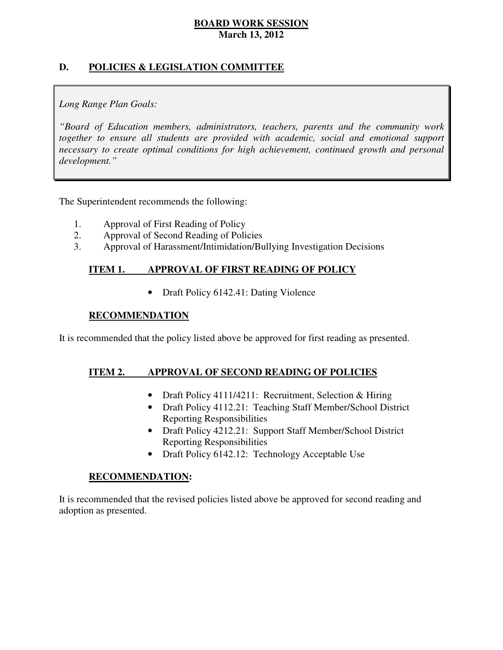# **D. POLICIES & LEGISLATION COMMITTEE**

# *Long Range Plan Goals:*

 *"Board of Education members, administrators, teachers, parents and the community work*  together to ensure all students are provided with academic, social and emotional support necessary to create optimal conditions for high achievement, continued growth and personal *development."* 

The Superintendent recommends the following:

- 1. Approval of First Reading of Policy
- 2. Approval of Second Reading of Policies
- 3. Approval of Harassment/Intimidation/Bullying Investigation Decisions

#### **ITEM 1. IMPROVAL OF FIRST READING OF POLICY**

• Draft Policy 6142.41: Dating Violence

### **RECOMMENDATION**

It is recommended that the policy listed above be approved for first reading as presented.

#### **ITEM 2. APPROVAL OF SECOND READING OF POLICIES**

- Draft Policy 4111/4211: Recruitment, Selection & Hiring
- Draft Policy 4112.21: Teaching Staff Member/School District Reporting Responsibilities
- Draft Policy 4212.21: Support Staff Member/School District Reporting Responsibilities
- Draft Policy 6142.12: Technology Acceptable Use

#### **RECOMMENDATION:**

 It is recommended that the revised policies listed above be approved for second reading and adoption as presented.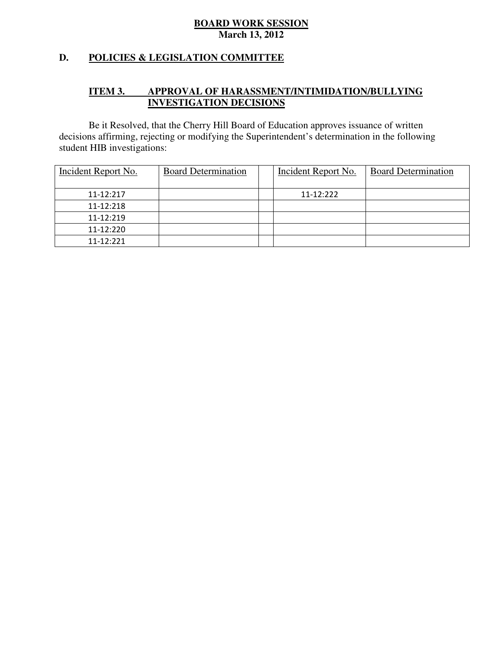### **D. POLICIES & LEGISLATION COMMITTEE**

#### **ITEM 3. IMPROVAL OF HARASSMENT/INTIMIDATION/BULLYING INVESTIGATION DECISIONS**

 decisions affirming, rejecting or modifying the Superintendent's determination in the following student HIB investigations: Be it Resolved, that the Cherry Hill Board of Education approves issuance of written

| Incident Report No. | <b>Board Determination</b> | Incident Report No. | <b>Board Determination</b> |
|---------------------|----------------------------|---------------------|----------------------------|
| 11-12:217           |                            | $11 - 12:222$       |                            |
| 11-12:218           |                            |                     |                            |
| 11-12:219           |                            |                     |                            |
| 11-12:220           |                            |                     |                            |
| 11-12:221           |                            |                     |                            |